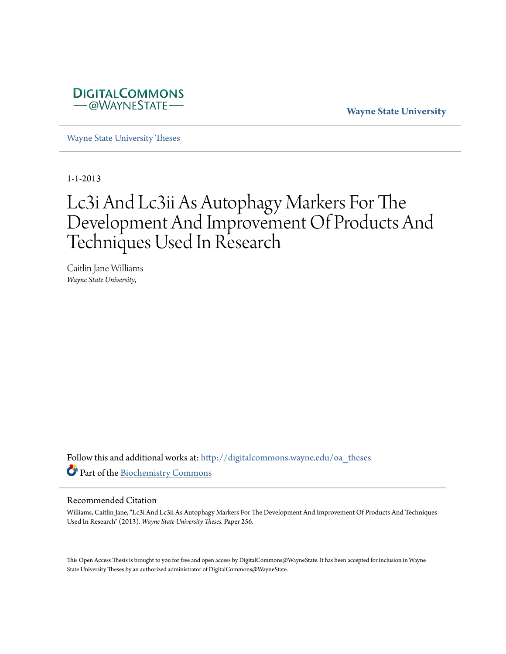

**Wayne State University**

[Wayne State University Theses](http://digitalcommons.wayne.edu/oa_theses?utm_source=digitalcommons.wayne.edu%2Foa_theses%2F256&utm_medium=PDF&utm_campaign=PDFCoverPages)

1-1-2013

# Lc3i And Lc3ii As Autophagy Markers For The Development And Improvement Of Products And Techniques Used In Research

Caitlin Jane Williams *Wayne State University*,

Follow this and additional works at: [http://digitalcommons.wayne.edu/oa\\_theses](http://digitalcommons.wayne.edu/oa_theses?utm_source=digitalcommons.wayne.edu%2Foa_theses%2F256&utm_medium=PDF&utm_campaign=PDFCoverPages) Part of the [Biochemistry Commons](http://network.bepress.com/hgg/discipline/2?utm_source=digitalcommons.wayne.edu%2Foa_theses%2F256&utm_medium=PDF&utm_campaign=PDFCoverPages)

#### Recommended Citation

Williams, Caitlin Jane, "Lc3i And Lc3ii As Autophagy Markers For The Development And Improvement Of Products And Techniques Used In Research" (2013). *Wayne State University Theses.* Paper 256.

This Open Access Thesis is brought to you for free and open access by DigitalCommons@WayneState. It has been accepted for inclusion in Wayne State University Theses by an authorized administrator of DigitalCommons@WayneState.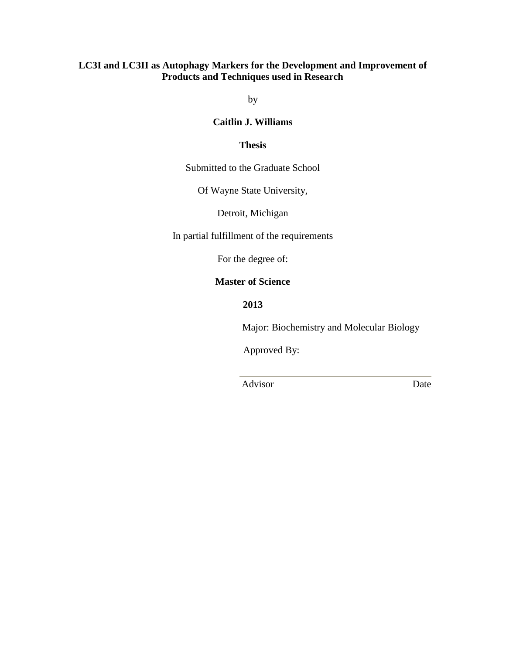# **LC3I and LC3II as Autophagy Markers for the Development and Improvement of Products and Techniques used in Research**

by

#### **Caitlin J. Williams**

#### **Thesis**

Submitted to the Graduate School

Of Wayne State University,

Detroit, Michigan

In partial fulfillment of the requirements

For the degree of:

#### **Master of Science**

**2013**

Major: Biochemistry and Molecular Biology

Approved By:

Advisor Date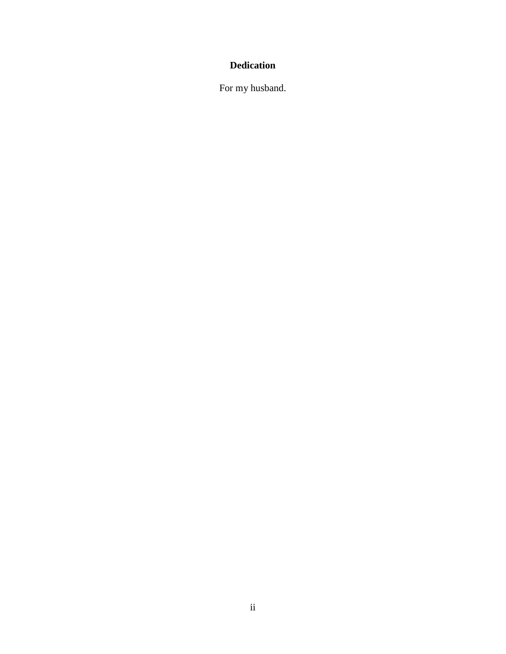# **Dedication**

For my husband.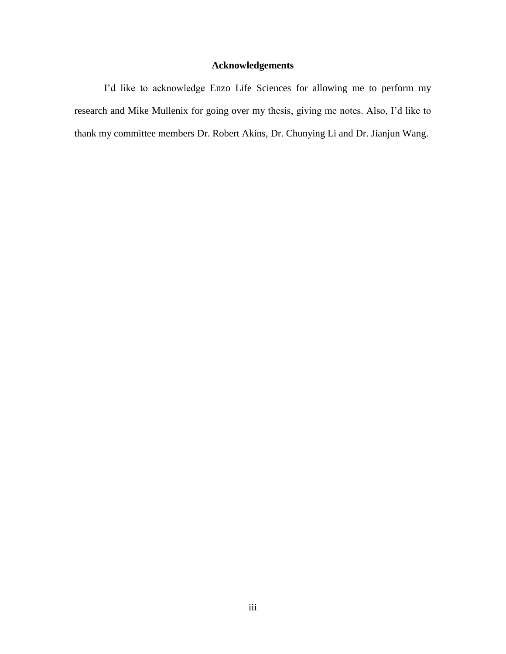# **Acknowledgements**

I'd like to acknowledge Enzo Life Sciences for allowing me to perform my research and Mike Mullenix for going over my thesis, giving me notes. Also, I'd like to thank my committee members Dr. Robert Akins, Dr. Chunying Li and Dr. Jianjun Wang.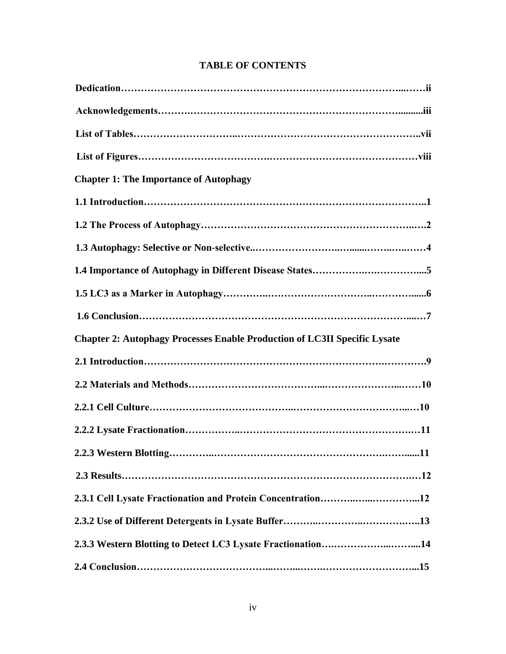| <b>Chapter 1: The Importance of Autophagy</b>                                    |
|----------------------------------------------------------------------------------|
|                                                                                  |
|                                                                                  |
|                                                                                  |
|                                                                                  |
|                                                                                  |
|                                                                                  |
|                                                                                  |
| <b>Chapter 2: Autophagy Processes Enable Production of LC3II Specific Lysate</b> |
|                                                                                  |
|                                                                                  |
|                                                                                  |
|                                                                                  |
|                                                                                  |
|                                                                                  |
| 2.3.1 Cell Lysate Fractionation and Protein Concentration12                      |
|                                                                                  |
| 2.3.3 Western Blotting to Detect LC3 Lysate Fractionation14                      |

# **TABLE OF CONTENTS**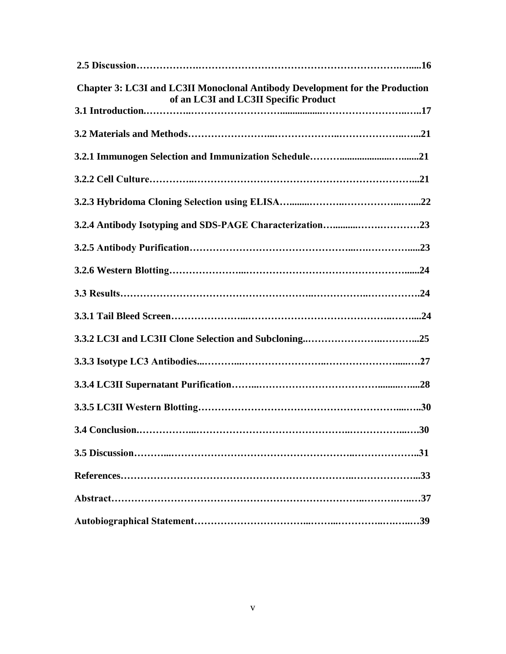| <b>Chapter 3: LC3I and LC3II Monoclonal Antibody Development for the Production</b><br>of an LC3I and LC3II Specific Product |  |
|------------------------------------------------------------------------------------------------------------------------------|--|
|                                                                                                                              |  |
|                                                                                                                              |  |
|                                                                                                                              |  |
|                                                                                                                              |  |
|                                                                                                                              |  |
|                                                                                                                              |  |
|                                                                                                                              |  |
|                                                                                                                              |  |
|                                                                                                                              |  |
|                                                                                                                              |  |
|                                                                                                                              |  |
|                                                                                                                              |  |
|                                                                                                                              |  |
|                                                                                                                              |  |
|                                                                                                                              |  |
|                                                                                                                              |  |
|                                                                                                                              |  |
|                                                                                                                              |  |
|                                                                                                                              |  |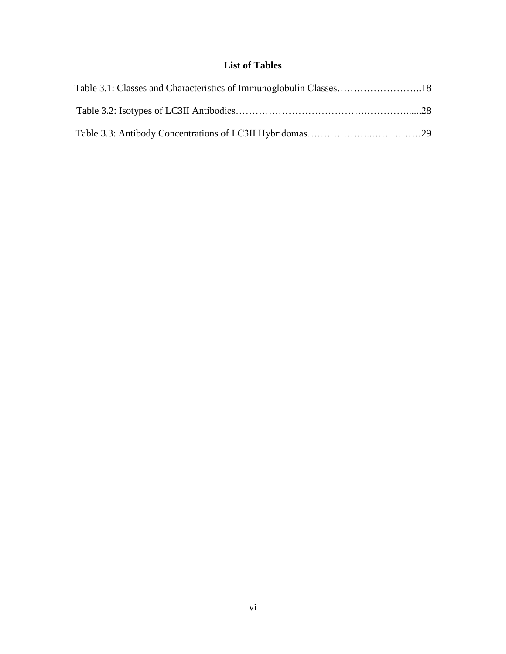# **List of Tables**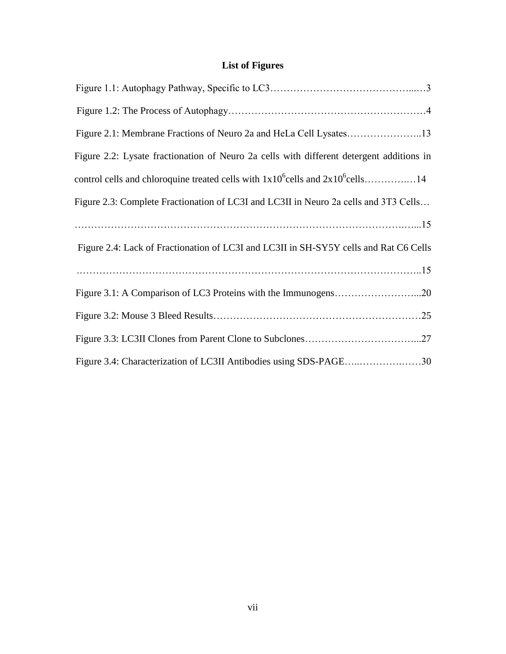# **List of Figures**

| Figure 2.2: Lysate fractionation of Neuro 2a cells with different detergent additions in |
|------------------------------------------------------------------------------------------|
|                                                                                          |
| Figure 2.3: Complete Fractionation of LC3I and LC3II in Neuro 2a cells and 3T3 Cells     |
|                                                                                          |
| Figure 2.4: Lack of Fractionation of LC3I and LC3II in SH-SY5Y cells and Rat C6 Cells    |
|                                                                                          |
|                                                                                          |
|                                                                                          |
|                                                                                          |
| Figure 3.4: Characterization of LC3II Antibodies using SDS-PAGE30                        |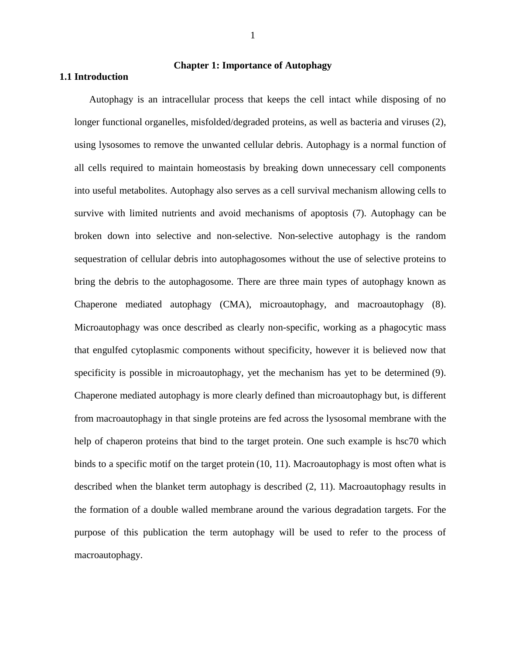#### **Chapter 1: Importance of Autophagy**

#### **1.1 Introduction**

Autophagy is an intracellular process that keeps the cell intact while disposing of no longer functional organelles, misfolded/degraded proteins, as well as bacteria and viruses (2), using lysosomes to remove the unwanted cellular debris. Autophagy is a normal function of all cells required to maintain homeostasis by breaking down unnecessary cell components into useful metabolites. Autophagy also serves as a cell survival mechanism allowing cells to survive with limited nutrients and avoid mechanisms of apoptosis (7). Autophagy can be broken down into selective and non-selective. Non-selective autophagy is the random sequestration of cellular debris into autophagosomes without the use of selective proteins to bring the debris to the autophagosome. There are three main types of autophagy known as Chaperone mediated autophagy (CMA), microautophagy, and macroautophagy (8). Microautophagy was once described as clearly non-specific, working as a phagocytic mass that engulfed cytoplasmic components without specificity, however it is believed now that specificity is possible in microautophagy, yet the mechanism has yet to be determined (9). Chaperone mediated autophagy is more clearly defined than microautophagy but, is different from macroautophagy in that single proteins are fed across the lysosomal membrane with the help of chaperon proteins that bind to the target protein. One such example is hsc70 which binds to a specific motif on the target protein (10, 11). Macroautophagy is most often what is described when the blanket term autophagy is described (2, 11). Macroautophagy results in the formation of a double walled membrane around the various degradation targets. For the purpose of this publication the term autophagy will be used to refer to the process of macroautophagy.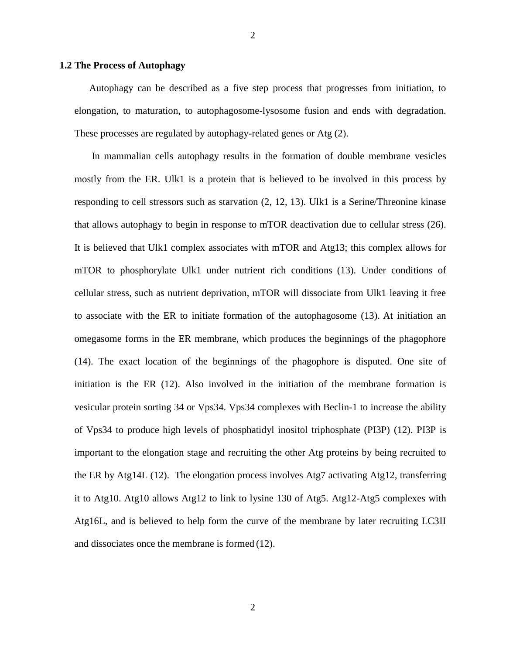#### **1.2 The Process of Autophagy**

Autophagy can be described as a five step process that progresses from initiation, to elongation, to maturation, to autophagosome-lysosome fusion and ends with degradation. These processes are regulated by autophagy-related genes or Atg (2).

In mammalian cells autophagy results in the formation of double membrane vesicles mostly from the ER. Ulk1 is a protein that is believed to be involved in this process by responding to cell stressors such as starvation (2, 12, 13). Ulk1 is a Serine/Threonine kinase that allows autophagy to begin in response to mTOR deactivation due to cellular stress (26). It is believed that Ulk1 complex associates with mTOR and Atg13; this complex allows for mTOR to phosphorylate Ulk1 under nutrient rich conditions (13). Under conditions of cellular stress, such as nutrient deprivation, mTOR will dissociate from Ulk1 leaving it free to associate with the ER to initiate formation of the autophagosome (13). At initiation an omegasome forms in the ER membrane, which produces the beginnings of the phagophore (14). The exact location of the beginnings of the phagophore is disputed. One site of initiation is the ER (12). Also involved in the initiation of the membrane formation is vesicular protein sorting 34 or Vps34. Vps34 complexes with Beclin-1 to increase the ability of Vps34 to produce high levels of phosphatidyl inositol triphosphate (PI3P) (12). PI3P is important to the elongation stage and recruiting the other Atg proteins by being recruited to the ER by Atg14L (12). The elongation process involves Atg7 activating Atg12, transferring it to Atg10. Atg10 allows Atg12 to link to lysine 130 of Atg5. Atg12-Atg5 complexes with Atg16L, and is believed to help form the curve of the membrane by later recruiting LC3II and dissociates once the membrane is formed (12).

2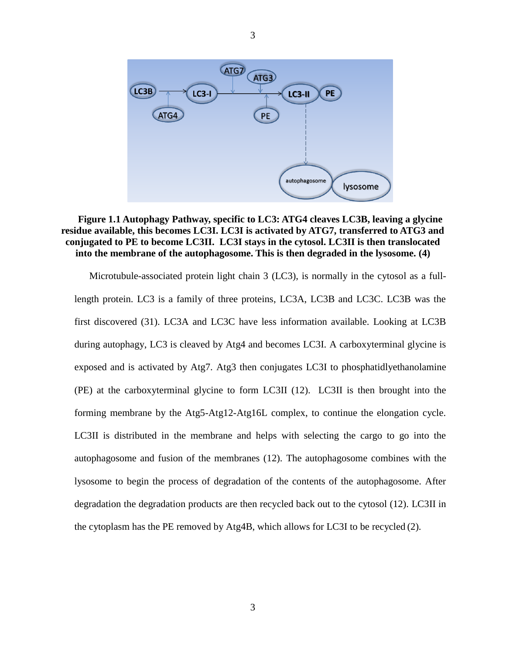

#### **Figure 1.1 Autophagy Pathway, specific to LC3: ATG4 cleaves LC3B, leaving a glycine residue available, this becomes LC3I. LC3I is activated by ATG7, transferred to ATG3 and conjugated to PE to become LC3II. LC3I stays in the cytosol. LC3II is then translocated into the membrane of the autophagosome. This is then degraded in the lysosome. (4)**

Microtubule-associated protein light chain 3 (LC3), is normally in the cytosol as a fulllength protein. LC3 is a family of three proteins, LC3A, LC3B and LC3C. LC3B was the first discovered (31). LC3A and LC3C have less information available. Looking at LC3B during autophagy, LC3 is cleaved by Atg4 and becomes LC3I. A carboxyterminal glycine is exposed and is activated by Atg7. Atg3 then conjugates LC3I to phosphatidlyethanolamine (PE) at the carboxyterminal glycine to form LC3II (12). LC3II is then brought into the forming membrane by the Atg5-Atg12-Atg16L complex, to continue the elongation cycle. LC3II is distributed in the membrane and helps with selecting the cargo to go into the autophagosome and fusion of the membranes (12). The autophagosome combines with the lysosome to begin the process of degradation of the contents of the autophagosome. After degradation the degradation products are then recycled back out to the cytosol (12). LC3II in the cytoplasm has the PE removed by Atg4B, which allows for LC3I to be recycled (2).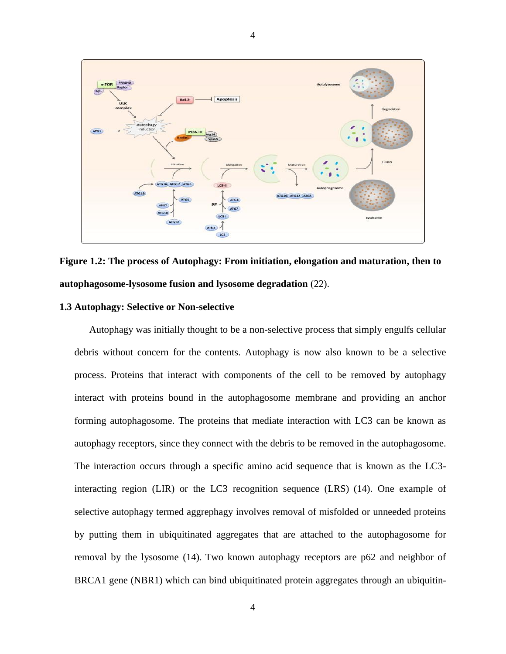

4

**Figure 1.2: The process of Autophagy: From initiation, elongation and maturation, then to autophagosome-lysosome fusion and lysosome degradation** (22).

#### **1.3 Autophagy: Selective or Non-selective**

Autophagy was initially thought to be a non-selective process that simply engulfs cellular debris without concern for the contents. Autophagy is now also known to be a selective process. Proteins that interact with components of the cell to be removed by autophagy interact with proteins bound in the autophagosome membrane and providing an anchor forming autophagosome. The proteins that mediate interaction with LC3 can be known as autophagy receptors, since they connect with the debris to be removed in the autophagosome. The interaction occurs through a specific amino acid sequence that is known as the LC3 interacting region (LIR) or the LC3 recognition sequence (LRS) (14). One example of selective autophagy termed aggrephagy involves removal of misfolded or unneeded proteins by putting them in ubiquitinated aggregates that are attached to the autophagosome for removal by the lysosome (14). Two known autophagy receptors are p62 and neighbor of BRCA1 gene (NBR1) which can bind ubiquitinated protein aggregates through an ubiquitin-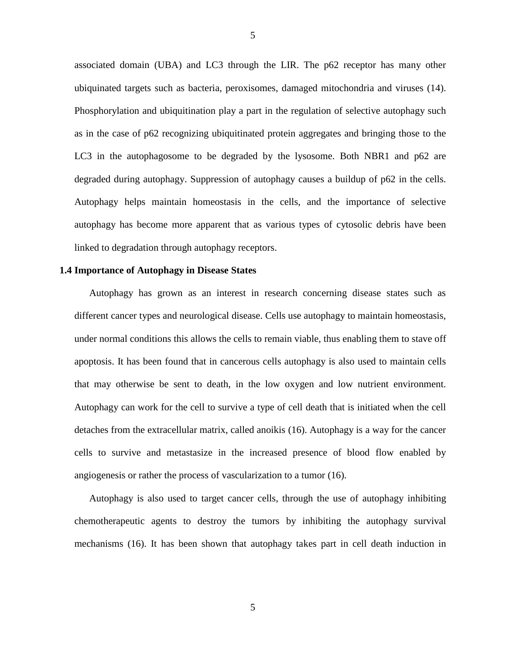associated domain (UBA) and LC3 through the LIR. The p62 receptor has many other ubiquinated targets such as bacteria, peroxisomes, damaged mitochondria and viruses (14). Phosphorylation and ubiquitination play a part in the regulation of selective autophagy such as in the case of p62 recognizing ubiquitinated protein aggregates and bringing those to the LC3 in the autophagosome to be degraded by the lysosome. Both NBR1 and p62 are degraded during autophagy. Suppression of autophagy causes a buildup of p62 in the cells. Autophagy helps maintain homeostasis in the cells, and the importance of selective autophagy has become more apparent that as various types of cytosolic debris have been linked to degradation through autophagy receptors.

#### **1.4 Importance of Autophagy in Disease States**

Autophagy has grown as an interest in research concerning disease states such as different cancer types and neurological disease. Cells use autophagy to maintain homeostasis, under normal conditions this allows the cells to remain viable, thus enabling them to stave off apoptosis. It has been found that in cancerous cells autophagy is also used to maintain cells that may otherwise be sent to death, in the low oxygen and low nutrient environment. Autophagy can work for the cell to survive a type of cell death that is initiated when the cell detaches from the extracellular matrix, called anoikis (16). Autophagy is a way for the cancer cells to survive and metastasize in the increased presence of blood flow enabled by angiogenesis or rather the process of vascularization to a tumor (16).

Autophagy is also used to target cancer cells, through the use of autophagy inhibiting chemotherapeutic agents to destroy the tumors by inhibiting the autophagy survival mechanisms (16). It has been shown that autophagy takes part in cell death induction in

5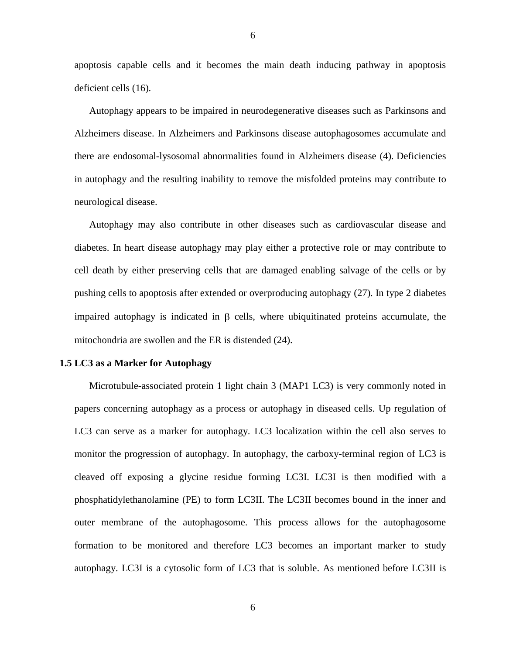apoptosis capable cells and it becomes the main death inducing pathway in apoptosis deficient cells (16).

Autophagy appears to be impaired in neurodegenerative diseases such as Parkinsons and Alzheimers disease. In Alzheimers and Parkinsons disease autophagosomes accumulate and there are endosomal-lysosomal abnormalities found in Alzheimers disease (4). Deficiencies in autophagy and the resulting inability to remove the misfolded proteins may contribute to neurological disease.

Autophagy may also contribute in other diseases such as cardiovascular disease and diabetes. In heart disease autophagy may play either a protective role or may contribute to cell death by either preserving cells that are damaged enabling salvage of the cells or by pushing cells to apoptosis after extended or overproducing autophagy (27). In type 2 diabetes impaired autophagy is indicated in  $\beta$  cells, where ubiquitinated proteins accumulate, the mitochondria are swollen and the ER is distended (24).

#### **1.5 LC3 as a Marker for Autophagy**

Microtubule-associated protein 1 light chain 3 (MAP1 LC3) is very commonly noted in papers concerning autophagy as a process or autophagy in diseased cells. Up regulation of LC3 can serve as a marker for autophagy. LC3 localization within the cell also serves to monitor the progression of autophagy. In autophagy, the carboxy-terminal region of LC3 is cleaved off exposing a glycine residue forming LC3I. LC3I is then modified with a phosphatidylethanolamine (PE) to form LC3II. The LC3II becomes bound in the inner and outer membrane of the autophagosome. This process allows for the autophagosome formation to be monitored and therefore LC3 becomes an important marker to study autophagy. LC3I is a cytosolic form of LC3 that is soluble. As mentioned before LC3II is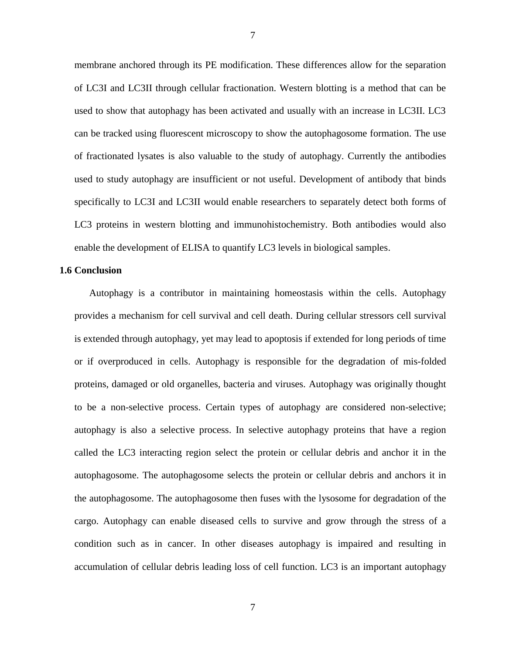membrane anchored through its PE modification. These differences allow for the separation of LC3I and LC3II through cellular fractionation. Western blotting is a method that can be used to show that autophagy has been activated and usually with an increase in LC3II. LC3 can be tracked using fluorescent microscopy to show the autophagosome formation. The use of fractionated lysates is also valuable to the study of autophagy. Currently the antibodies used to study autophagy are insufficient or not useful. Development of antibody that binds specifically to LC3I and LC3II would enable researchers to separately detect both forms of LC3 proteins in western blotting and immunohistochemistry. Both antibodies would also enable the development of ELISA to quantify LC3 levels in biological samples.

#### **1.6 Conclusion**

Autophagy is a contributor in maintaining homeostasis within the cells. Autophagy provides a mechanism for cell survival and cell death. During cellular stressors cell survival is extended through autophagy, yet may lead to apoptosis if extended for long periods of time or if overproduced in cells. Autophagy is responsible for the degradation of mis-folded proteins, damaged or old organelles, bacteria and viruses. Autophagy was originally thought to be a non-selective process. Certain types of autophagy are considered non-selective; autophagy is also a selective process. In selective autophagy proteins that have a region called the LC3 interacting region select the protein or cellular debris and anchor it in the autophagosome. The autophagosome selects the protein or cellular debris and anchors it in the autophagosome. The autophagosome then fuses with the lysosome for degradation of the cargo. Autophagy can enable diseased cells to survive and grow through the stress of a condition such as in cancer. In other diseases autophagy is impaired and resulting in accumulation of cellular debris leading loss of cell function. LC3 is an important autophagy

7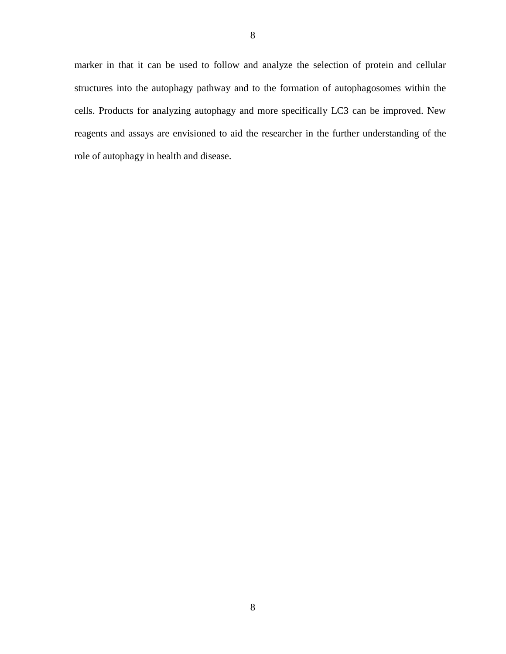marker in that it can be used to follow and analyze the selection of protein and cellular structures into the autophagy pathway and to the formation of autophagosomes within the cells. Products for analyzing autophagy and more specifically LC3 can be improved. New reagents and assays are envisioned to aid the researcher in the further understanding of the role of autophagy in health and disease.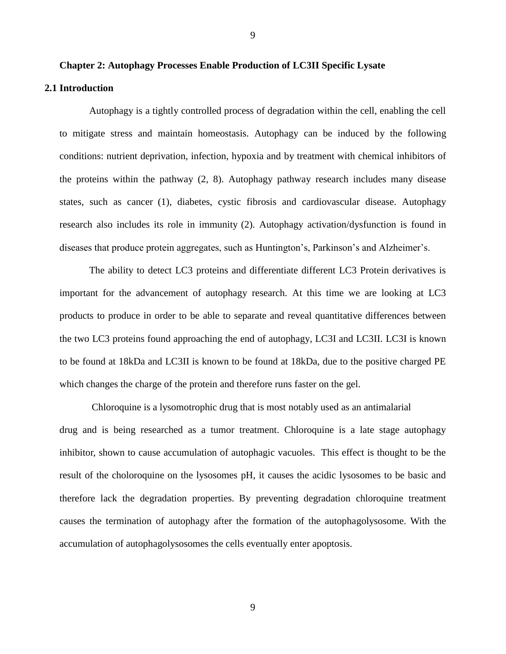Autophagy is a tightly controlled process of degradation within the cell, enabling the cell to mitigate stress and maintain homeostasis. Autophagy can be induced by the following conditions: nutrient deprivation, infection, hypoxia and by treatment with chemical inhibitors of the proteins within the pathway (2, 8). Autophagy pathway research includes many disease states, such as cancer (1), diabetes, cystic fibrosis and cardiovascular disease. Autophagy research also includes its role in immunity (2). Autophagy activation/dysfunction is found in diseases that produce protein aggregates, such as Huntington's, Parkinson's and Alzheimer's.

9

The ability to detect LC3 proteins and differentiate different LC3 Protein derivatives is important for the advancement of autophagy research. At this time we are looking at LC3 products to produce in order to be able to separate and reveal quantitative differences between the two LC3 proteins found approaching the end of autophagy, LC3I and LC3II. LC3I is known to be found at 18kDa and LC3II is known to be found at 18kDa, due to the positive charged PE which changes the charge of the protein and therefore runs faster on the gel.

Chloroquine is a lysomotrophic drug that is most notably used as an antimalarial drug and is being researched as a tumor treatment. Chloroquine is a late stage autophagy inhibitor, shown to cause accumulation of autophagic vacuoles. This effect is thought to be the result of the choloroquine on the lysosomes pH, it causes the acidic lysosomes to be basic and therefore lack the degradation properties. By preventing degradation chloroquine treatment causes the termination of autophagy after the formation of the autophagolysosome. With the accumulation of autophagolysosomes the cells eventually enter apoptosis.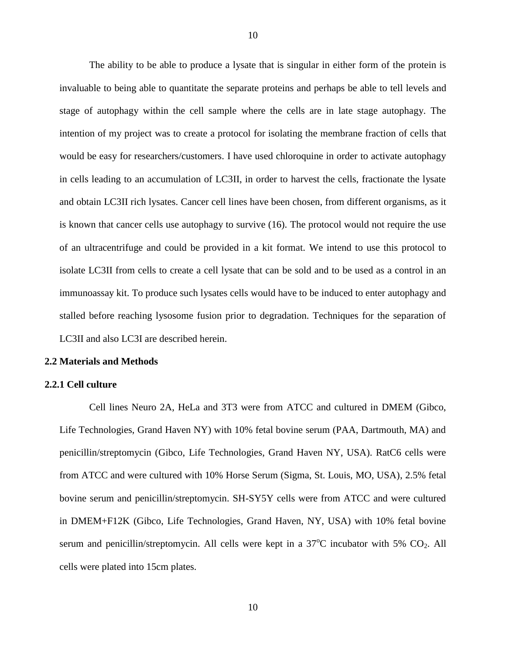The ability to be able to produce a lysate that is singular in either form of the protein is invaluable to being able to quantitate the separate proteins and perhaps be able to tell levels and stage of autophagy within the cell sample where the cells are in late stage autophagy. The intention of my project was to create a protocol for isolating the membrane fraction of cells that would be easy for researchers/customers. I have used chloroquine in order to activate autophagy in cells leading to an accumulation of LC3II, in order to harvest the cells, fractionate the lysate and obtain LC3II rich lysates. Cancer cell lines have been chosen, from different organisms, as it is known that cancer cells use autophagy to survive (16). The protocol would not require the use of an ultracentrifuge and could be provided in a kit format. We intend to use this protocol to isolate LC3II from cells to create a cell lysate that can be sold and to be used as a control in an immunoassay kit. To produce such lysates cells would have to be induced to enter autophagy and stalled before reaching lysosome fusion prior to degradation. Techniques for the separation of LC3II and also LC3I are described herein.

#### **2.2 Materials and Methods**

#### **2.2.1 Cell culture**

Cell lines Neuro 2A, HeLa and 3T3 were from ATCC and cultured in DMEM (Gibco, Life Technologies, Grand Haven NY) with 10% fetal bovine serum (PAA, Dartmouth, MA) and penicillin/streptomycin (Gibco, Life Technologies, Grand Haven NY, USA). RatC6 cells were from ATCC and were cultured with 10% Horse Serum (Sigma, St. Louis, MO, USA), 2.5% fetal bovine serum and penicillin/streptomycin. SH-SY5Y cells were from ATCC and were cultured in DMEM+F12K (Gibco, Life Technologies, Grand Haven, NY, USA) with 10% fetal bovine serum and penicillin/streptomycin. All cells were kept in a  $37^{\circ}$ C incubator with 5% CO<sub>2</sub>. All cells were plated into 15cm plates.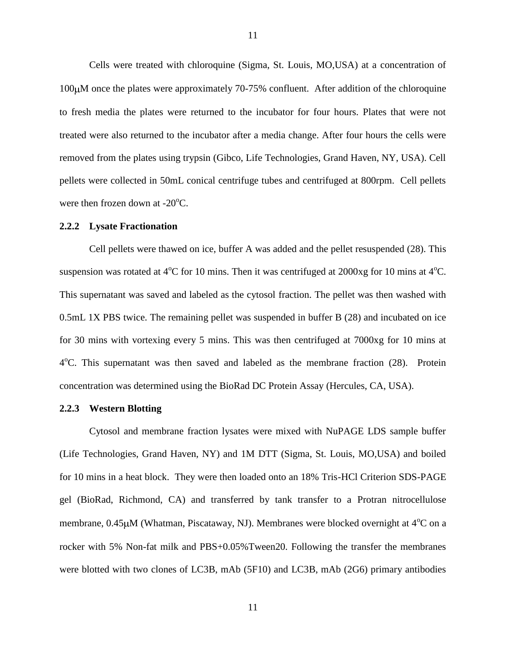Cells were treated with chloroquine (Sigma, St. Louis, MO,USA) at a concentration of  $100 \mu$ M once the plates were approximately 70-75% confluent. After addition of the chloroquine to fresh media the plates were returned to the incubator for four hours. Plates that were not treated were also returned to the incubator after a media change. After four hours the cells were removed from the plates using trypsin (Gibco, Life Technologies, Grand Haven, NY, USA). Cell pellets were collected in 50mL conical centrifuge tubes and centrifuged at 800rpm. Cell pellets were then frozen down at  $-20^{\circ}$ C.

#### **2.2.2 Lysate Fractionation**

Cell pellets were thawed on ice, buffer A was added and the pellet resuspended (28). This suspension was rotated at  $4^{\circ}$ C for 10 mins. Then it was centrifuged at 2000xg for 10 mins at  $4^{\circ}$ C. This supernatant was saved and labeled as the cytosol fraction. The pellet was then washed with 0.5mL 1X PBS twice. The remaining pellet was suspended in buffer B (28) and incubated on ice for 30 mins with vortexing every 5 mins. This was then centrifuged at 7000xg for 10 mins at 4<sup>o</sup>C. This supernatant was then saved and labeled as the membrane fraction (28). Protein concentration was determined using the BioRad DC Protein Assay (Hercules, CA, USA).

#### **2.2.3 Western Blotting**

Cytosol and membrane fraction lysates were mixed with NuPAGE LDS sample buffer (Life Technologies, Grand Haven, NY) and 1M DTT (Sigma, St. Louis, MO,USA) and boiled for 10 mins in a heat block. They were then loaded onto an 18% Tris-HCl Criterion SDS-PAGE gel (BioRad, Richmond, CA) and transferred by tank transfer to a Protran nitrocellulose membrane,  $0.45 \mu$ M (Whatman, Piscataway, NJ). Membranes were blocked overnight at  $4^{\circ}$ C on a rocker with 5% Non-fat milk and PBS+0.05%Tween20. Following the transfer the membranes were blotted with two clones of LC3B, mAb (5F10) and LC3B, mAb (2G6) primary antibodies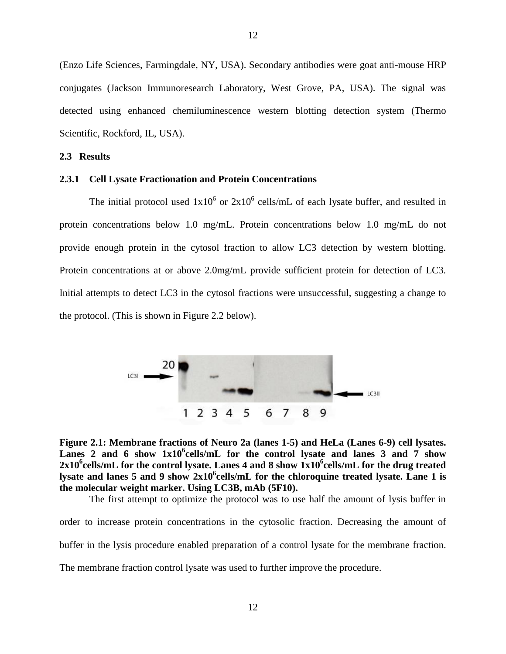(Enzo Life Sciences, Farmingdale, NY, USA). Secondary antibodies were goat anti-mouse HRP conjugates (Jackson Immunoresearch Laboratory, West Grove, PA, USA). The signal was detected using enhanced chemiluminescence western blotting detection system (Thermo Scientific, Rockford, IL, USA).

#### **2.3 Results**

#### **2.3.1 Cell Lysate Fractionation and Protein Concentrations**

The initial protocol used  $1x10^6$  or  $2x10^6$  cells/mL of each lysate buffer, and resulted in protein concentrations below 1.0 mg/mL. Protein concentrations below 1.0 mg/mL do not provide enough protein in the cytosol fraction to allow LC3 detection by western blotting. Protein concentrations at or above 2.0mg/mL provide sufficient protein for detection of LC3. Initial attempts to detect LC3 in the cytosol fractions were unsuccessful, suggesting a change to the protocol. (This is shown in Figure 2.2 below).





The first attempt to optimize the protocol was to use half the amount of lysis buffer in

order to increase protein concentrations in the cytosolic fraction. Decreasing the amount of buffer in the lysis procedure enabled preparation of a control lysate for the membrane fraction. The membrane fraction control lysate was used to further improve the procedure.

12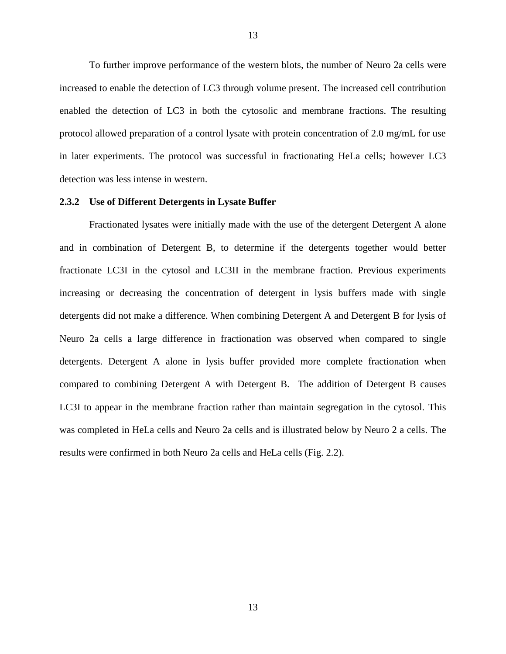To further improve performance of the western blots, the number of Neuro 2a cells were increased to enable the detection of LC3 through volume present. The increased cell contribution enabled the detection of LC3 in both the cytosolic and membrane fractions. The resulting protocol allowed preparation of a control lysate with protein concentration of 2.0 mg/mL for use in later experiments. The protocol was successful in fractionating HeLa cells; however LC3 detection was less intense in western.

#### **2.3.2 Use of Different Detergents in Lysate Buffer**

Fractionated lysates were initially made with the use of the detergent Detergent A alone and in combination of Detergent B, to determine if the detergents together would better fractionate LC3I in the cytosol and LC3II in the membrane fraction. Previous experiments increasing or decreasing the concentration of detergent in lysis buffers made with single detergents did not make a difference. When combining Detergent A and Detergent B for lysis of Neuro 2a cells a large difference in fractionation was observed when compared to single detergents. Detergent A alone in lysis buffer provided more complete fractionation when compared to combining Detergent A with Detergent B. The addition of Detergent B causes LC3I to appear in the membrane fraction rather than maintain segregation in the cytosol. This was completed in HeLa cells and Neuro 2a cells and is illustrated below by Neuro 2 a cells. The results were confirmed in both Neuro 2a cells and HeLa cells (Fig. 2.2).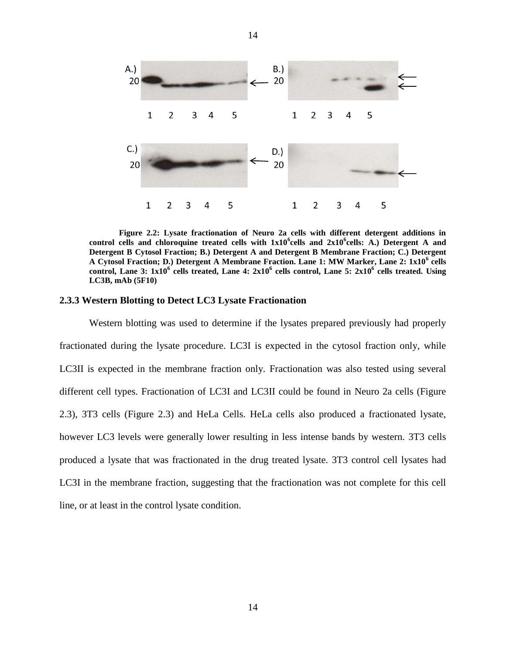

14

**Figure 2.2: Lysate fractionation of Neuro 2a cells with different detergent additions in control cells and chloroquine treated cells with 1x10<sup>6</sup> cells and 2x10<sup>6</sup> cells: A.) Detergent A and Detergent B Cytosol Fraction; B.) Detergent A and Detergent B Membrane Fraction; C.) Detergent A Cytosol Fraction; D.) Detergent A Membrane Fraction. Lane 1: MW Marker, Lane 2: 1x10<sup>6</sup> cells control, Lane 3: 1x10<sup>6</sup> cells treated, Lane 4: 2x10<sup>6</sup> cells control, Lane 5: 2x10<sup>6</sup> cells treated. Using LC3B, mAb (5F10)**

#### **2.3.3 Western Blotting to Detect LC3 Lysate Fractionation**

Western blotting was used to determine if the lysates prepared previously had properly fractionated during the lysate procedure. LC3I is expected in the cytosol fraction only, while LC3II is expected in the membrane fraction only. Fractionation was also tested using several different cell types. Fractionation of LC3I and LC3II could be found in Neuro 2a cells (Figure 2.3), 3T3 cells (Figure 2.3) and HeLa Cells. HeLa cells also produced a fractionated lysate, however LC3 levels were generally lower resulting in less intense bands by western. 3T3 cells produced a lysate that was fractionated in the drug treated lysate. 3T3 control cell lysates had LC3I in the membrane fraction, suggesting that the fractionation was not complete for this cell line, or at least in the control lysate condition.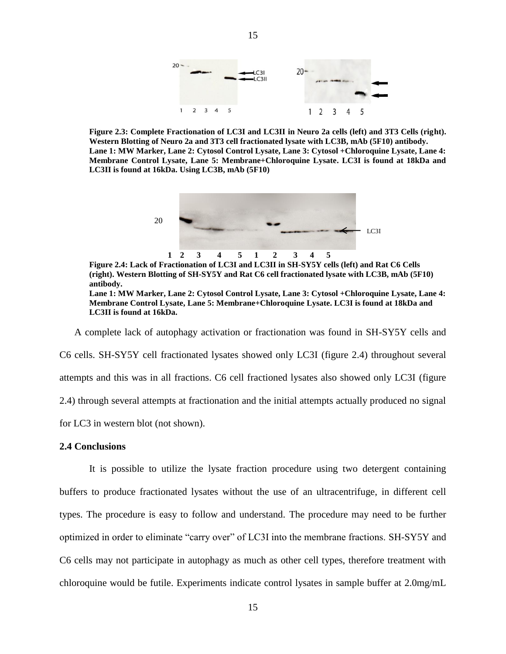

**Figure 2.3: Complete Fractionation of LC3I and LC3II in Neuro 2a cells (left) and 3T3 Cells (right). Western Blotting of Neuro 2a and 3T3 cell fractionated lysate with LC3B, mAb (5F10) antibody. Lane 1: MW Marker, Lane 2: Cytosol Control Lysate, Lane 3: Cytosol +Chloroquine Lysate, Lane 4: Membrane Control Lysate, Lane 5: Membrane+Chloroquine Lysate. LC3I is found at 18kDa and LC3II is found at 16kDa. Using LC3B, mAb (5F10)**



**Figure 2.4: Lack of Fractionation of LC3I and LC3II in SH-SY5Y cells (left) and Rat C6 Cells (right). Western Blotting of SH-SY5Y and Rat C6 cell fractionated lysate with LC3B, mAb (5F10) antibody. Lane 1: MW Marker, Lane 2: Cytosol Control Lysate, Lane 3: Cytosol +Chloroquine Lysate, Lane 4: Membrane Control Lysate, Lane 5: Membrane+Chloroquine Lysate. LC3I is found at 18kDa and LC3II is found at 16kDa.** 

A complete lack of autophagy activation or fractionation was found in SH-SY5Y cells and C6 cells. SH-SY5Y cell fractionated lysates showed only LC3I (figure 2.4) throughout several attempts and this was in all fractions. C6 cell fractioned lysates also showed only LC3I (figure 2.4) through several attempts at fractionation and the initial attempts actually produced no signal for LC3 in western blot (not shown).

#### **2.4 Conclusions**

It is possible to utilize the lysate fraction procedure using two detergent containing buffers to produce fractionated lysates without the use of an ultracentrifuge, in different cell types. The procedure is easy to follow and understand. The procedure may need to be further optimized in order to eliminate "carry over" of LC3I into the membrane fractions. SH-SY5Y and C6 cells may not participate in autophagy as much as other cell types, therefore treatment with chloroquine would be futile. Experiments indicate control lysates in sample buffer at 2.0mg/mL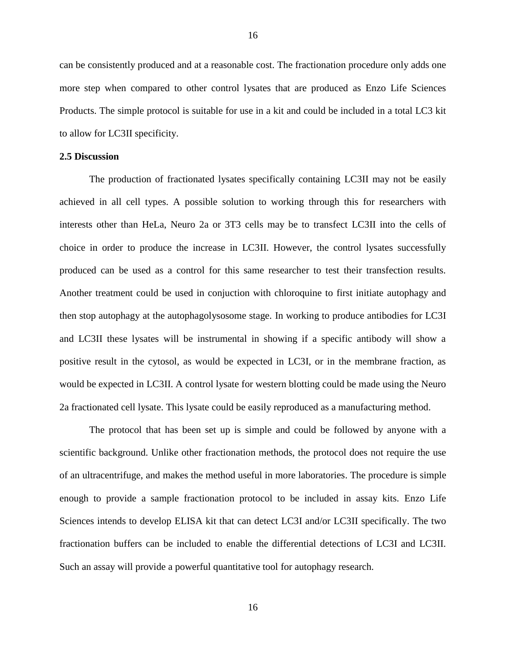can be consistently produced and at a reasonable cost. The fractionation procedure only adds one more step when compared to other control lysates that are produced as Enzo Life Sciences Products. The simple protocol is suitable for use in a kit and could be included in a total LC3 kit to allow for LC3II specificity.

#### **2.5 Discussion**

The production of fractionated lysates specifically containing LC3II may not be easily achieved in all cell types. A possible solution to working through this for researchers with interests other than HeLa, Neuro 2a or 3T3 cells may be to transfect LC3II into the cells of choice in order to produce the increase in LC3II. However, the control lysates successfully produced can be used as a control for this same researcher to test their transfection results. Another treatment could be used in conjuction with chloroquine to first initiate autophagy and then stop autophagy at the autophagolysosome stage. In working to produce antibodies for LC3I and LC3II these lysates will be instrumental in showing if a specific antibody will show a positive result in the cytosol, as would be expected in LC3I, or in the membrane fraction, as would be expected in LC3II. A control lysate for western blotting could be made using the Neuro 2a fractionated cell lysate. This lysate could be easily reproduced as a manufacturing method.

The protocol that has been set up is simple and could be followed by anyone with a scientific background. Unlike other fractionation methods, the protocol does not require the use of an ultracentrifuge, and makes the method useful in more laboratories. The procedure is simple enough to provide a sample fractionation protocol to be included in assay kits. Enzo Life Sciences intends to develop ELISA kit that can detect LC3I and/or LC3II specifically. The two fractionation buffers can be included to enable the differential detections of LC3I and LC3II. Such an assay will provide a powerful quantitative tool for autophagy research.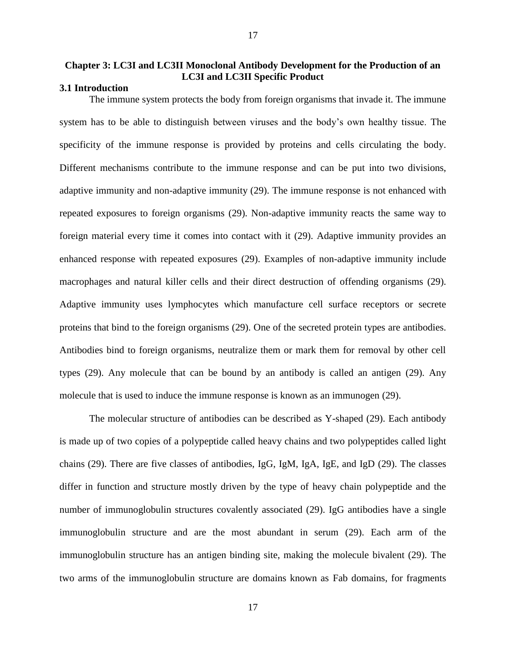## **Chapter 3: LC3I and LC3II Monoclonal Antibody Development for the Production of an LC3I and LC3II Specific Product**

17

#### **3.1 Introduction**

The immune system protects the body from foreign organisms that invade it. The immune system has to be able to distinguish between viruses and the body's own healthy tissue. The specificity of the immune response is provided by proteins and cells circulating the body. Different mechanisms contribute to the immune response and can be put into two divisions, adaptive immunity and non-adaptive immunity (29). The immune response is not enhanced with repeated exposures to foreign organisms (29). Non-adaptive immunity reacts the same way to foreign material every time it comes into contact with it (29). Adaptive immunity provides an enhanced response with repeated exposures (29). Examples of non-adaptive immunity include macrophages and natural killer cells and their direct destruction of offending organisms (29). Adaptive immunity uses lymphocytes which manufacture cell surface receptors or secrete proteins that bind to the foreign organisms (29). One of the secreted protein types are antibodies. Antibodies bind to foreign organisms, neutralize them or mark them for removal by other cell types (29). Any molecule that can be bound by an antibody is called an antigen (29). Any molecule that is used to induce the immune response is known as an immunogen (29).

The molecular structure of antibodies can be described as Y-shaped (29). Each antibody is made up of two copies of a polypeptide called heavy chains and two polypeptides called light chains (29). There are five classes of antibodies, IgG, IgM, IgA, IgE, and IgD (29). The classes differ in function and structure mostly driven by the type of heavy chain polypeptide and the number of immunoglobulin structures covalently associated (29). IgG antibodies have a single immunoglobulin structure and are the most abundant in serum (29). Each arm of the immunoglobulin structure has an antigen binding site, making the molecule bivalent (29). The two arms of the immunoglobulin structure are domains known as Fab domains, for fragments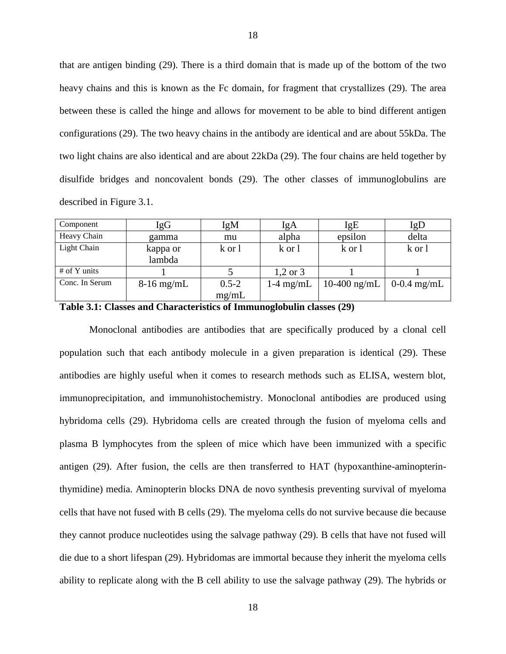that are antigen binding (29). There is a third domain that is made up of the bottom of the two heavy chains and this is known as the Fc domain, for fragment that crystallizes (29). The area between these is called the hinge and allows for movement to be able to bind different antigen configurations (29). The two heavy chains in the antibody are identical and are about 55kDa. The two light chains are also identical and are about 22kDa (29). The four chains are held together by disulfide bridges and noncovalent bonds (29). The other classes of immunoglobulins are described in Figure 3.1.

| Component      | IgG                | IgM                | IgA                 | IgE          | IgD           |
|----------------|--------------------|--------------------|---------------------|--------------|---------------|
| Heavy Chain    | gamma              | mu                 | alpha               | epsilon      | delta         |
| Light Chain    | kappa or<br>lambda | k or 1             | k or 1              | k or 1       | k or 1        |
| $#$ of Y units |                    |                    | $1,2 \text{ or } 3$ |              |               |
| Conc. In Serum | $8-16$ mg/mL       | $0.5 - 2$<br>mg/mL | $1-4$ mg/mL         | 10-400 ng/mL | $0-0.4$ mg/mL |

**Table 3.1: Classes and Characteristics of Immunoglobulin classes (29)**

Monoclonal antibodies are antibodies that are specifically produced by a clonal cell population such that each antibody molecule in a given preparation is identical (29). These antibodies are highly useful when it comes to research methods such as ELISA, western blot, immunoprecipitation, and immunohistochemistry. Monoclonal antibodies are produced using hybridoma cells (29). Hybridoma cells are created through the fusion of myeloma cells and plasma B lymphocytes from the spleen of mice which have been immunized with a specific antigen (29). After fusion, the cells are then transferred to HAT (hypoxanthine-aminopterinthymidine) media. Aminopterin blocks DNA de novo synthesis preventing survival of myeloma cells that have not fused with B cells (29). The myeloma cells do not survive because die because they cannot produce nucleotides using the salvage pathway (29). B cells that have not fused will die due to a short lifespan (29). Hybridomas are immortal because they inherit the myeloma cells ability to replicate along with the B cell ability to use the salvage pathway (29). The hybrids or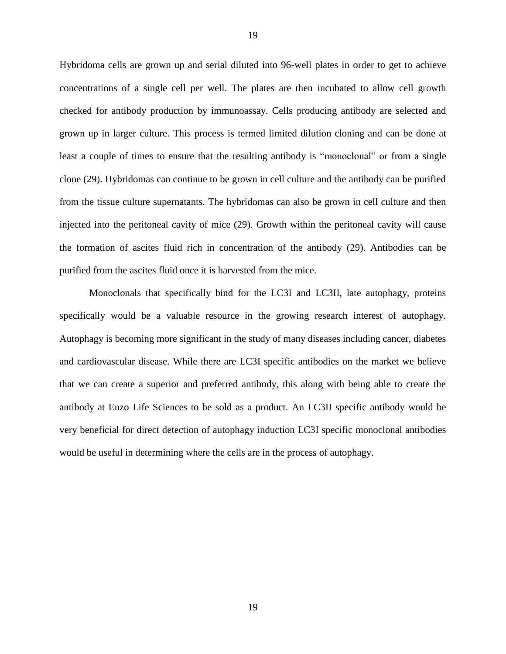Hybridoma cells are grown up and serial diluted into 96-well plates in order to get to achieve concentrations of a single cell per well. The plates are then incubated to allow cell growth checked for antibody production by immunoassay. Cells producing antibody are selected and grown up in larger culture. This process is termed limited dilution cloning and can be done at least a couple of times to ensure that the resulting antibody is "monoclonal" or from a single clone (29). Hybridomas can continue to be grown in cell culture and the antibody can be purified from the tissue culture supernatants. The hybridomas can also be grown in cell culture and then injected into the peritoneal cavity of mice (29). Growth within the peritoneal cavity will cause the formation of ascites fluid rich in concentration of the antibody (29). Antibodies can be purified from the ascites fluid once it is harvested from the mice.

Monoclonals that specifically bind for the LC3I and LC3II, late autophagy, proteins specifically would be a valuable resource in the growing research interest of autophagy. Autophagy is becoming more significant in the study of many diseases including cancer, diabetes and cardiovascular disease. While there are LC3I specific antibodies on the market we believe that we can create a superior and preferred antibody, this along with being able to create the antibody at Enzo Life Sciences to be sold as a product. An LC3II specific antibody would be very beneficial for direct detection of autophagy induction LC3I specific monoclonal antibodies would be useful in determining where the cells are in the process of autophagy.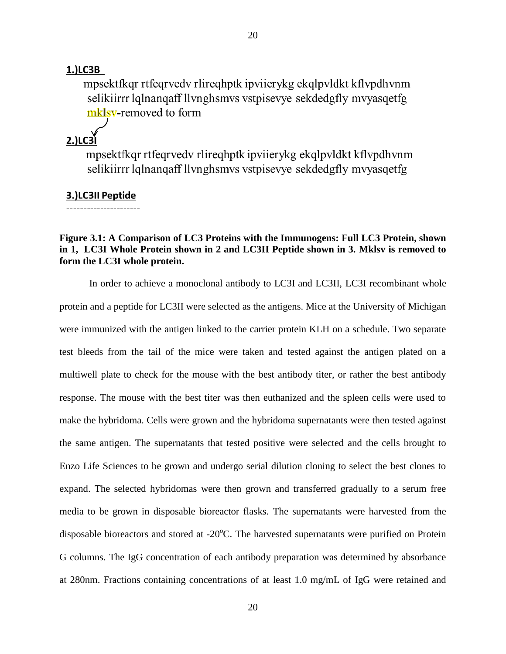#### 1.)LC3B

mpsektfkgr rtfegrvedy rlireghptk ipvijerykg ekglpvldkt kflypdhynm selikiirrr lqlnanqaff llynghsmys vstpisevye sekdedgfly myyasqetfg mklsv-removed to form

# $2.$ ) $LC3$

mpsektfkgr rtfegrvedy rlireghptk ipvijerykg ekglpyldkt kflypdhynm selikiirr lqlnanqaff llynghsmys vstpisevye sekdedgfly myyasqetfg

#### 3.)LC3II Peptide

\_\_\_\_\_\_\_\_\_\_\_\_\_\_\_\_\_\_\_\_\_\_\_

## **Figure 3.1: A Comparison of LC3 Proteins with the Immunogens: Full LC3 Protein, shown in 1, LC3I Whole Protein shown in 2 and LC3II Peptide shown in 3. Mklsv is removed to form the LC3I whole protein.**

In order to achieve a monoclonal antibody to LC3I and LC3II, LC3I recombinant whole protein and a peptide for LC3II were selected as the antigens. Mice at the University of Michigan were immunized with the antigen linked to the carrier protein KLH on a schedule. Two separate test bleeds from the tail of the mice were taken and tested against the antigen plated on a multiwell plate to check for the mouse with the best antibody titer, or rather the best antibody response. The mouse with the best titer was then euthanized and the spleen cells were used to make the hybridoma. Cells were grown and the hybridoma supernatants were then tested against the same antigen. The supernatants that tested positive were selected and the cells brought to Enzo Life Sciences to be grown and undergo serial dilution cloning to select the best clones to expand. The selected hybridomas were then grown and transferred gradually to a serum free media to be grown in disposable bioreactor flasks. The supernatants were harvested from the disposable bioreactors and stored at  $-20^{\circ}$ C. The harvested supernatants were purified on Protein G columns. The IgG concentration of each antibody preparation was determined by absorbance at 280nm. Fractions containing concentrations of at least 1.0 mg/mL of IgG were retained and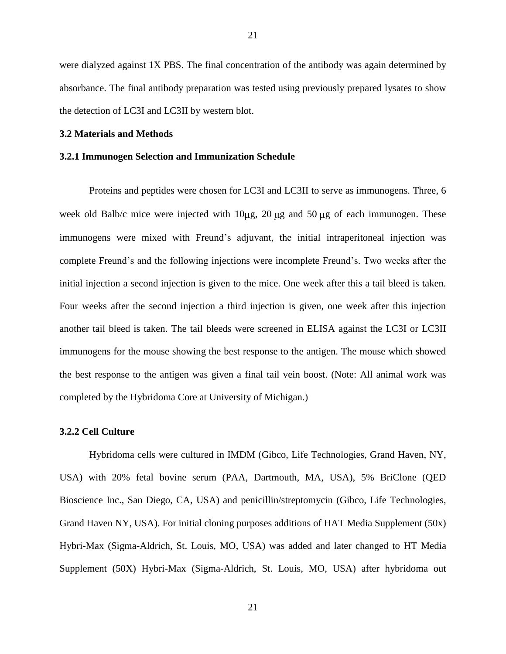were dialyzed against 1X PBS. The final concentration of the antibody was again determined by absorbance. The final antibody preparation was tested using previously prepared lysates to show the detection of LC3I and LC3II by western blot.

#### **3.2 Materials and Methods**

#### **3.2.1 Immunogen Selection and Immunization Schedule**

Proteins and peptides were chosen for LC3I and LC3II to serve as immunogens. Three, 6 week old Balb/c mice were injected with  $10\mu$ g,  $20 \mu$ g and  $50 \mu$ g of each immunogen. These immunogens were mixed with Freund's adjuvant, the initial intraperitoneal injection was complete Freund's and the following injections were incomplete Freund's. Two weeks after the initial injection a second injection is given to the mice. One week after this a tail bleed is taken. Four weeks after the second injection a third injection is given, one week after this injection another tail bleed is taken. The tail bleeds were screened in ELISA against the LC3I or LC3II immunogens for the mouse showing the best response to the antigen. The mouse which showed the best response to the antigen was given a final tail vein boost. (Note: All animal work was completed by the Hybridoma Core at University of Michigan.)

#### **3.2.2 Cell Culture**

Hybridoma cells were cultured in IMDM (Gibco, Life Technologies, Grand Haven, NY, USA) with 20% fetal bovine serum (PAA, Dartmouth, MA, USA), 5% BriClone (QED Bioscience Inc., San Diego, CA, USA) and penicillin/streptomycin (Gibco, Life Technologies, Grand Haven NY, USA). For initial cloning purposes additions of HAT Media Supplement (50x) Hybri-Max (Sigma-Aldrich, St. Louis, MO, USA) was added and later changed to HT Media Supplement (50X) Hybri-Max (Sigma-Aldrich, St. Louis, MO, USA) after hybridoma out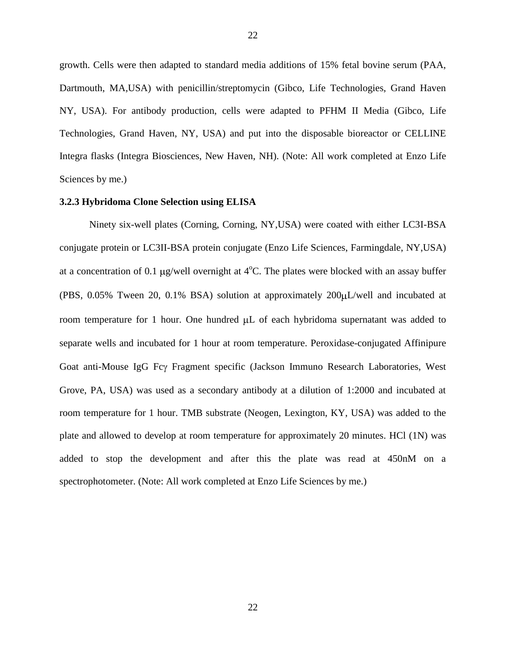growth. Cells were then adapted to standard media additions of 15% fetal bovine serum (PAA, Dartmouth, MA,USA) with penicillin/streptomycin (Gibco, Life Technologies, Grand Haven NY, USA). For antibody production, cells were adapted to PFHM II Media (Gibco, Life Technologies, Grand Haven, NY, USA) and put into the disposable bioreactor or CELLINE Integra flasks (Integra Biosciences, New Haven, NH). (Note: All work completed at Enzo Life Sciences by me.)

#### **3.2.3 Hybridoma Clone Selection using ELISA**

Ninety six-well plates (Corning, Corning, NY,USA) were coated with either LC3I-BSA conjugate protein or LC3II-BSA protein conjugate (Enzo Life Sciences, Farmingdale, NY,USA) at a concentration of 0.1  $\mu$ g/well overnight at 4<sup>o</sup>C. The plates were blocked with an assay buffer (PBS,  $0.05\%$  Tween 20,  $0.1\%$  BSA) solution at approximately  $200\mu L/well$  and incubated at room temperature for 1 hour. One hundred  $\mu$ L of each hybridoma supernatant was added to separate wells and incubated for 1 hour at room temperature. Peroxidase-conjugated Affinipure Goat anti-Mouse IgG Fcy Fragment specific (Jackson Immuno Research Laboratories, West Grove, PA, USA) was used as a secondary antibody at a dilution of 1:2000 and incubated at room temperature for 1 hour. TMB substrate (Neogen, Lexington, KY, USA) was added to the plate and allowed to develop at room temperature for approximately 20 minutes. HCl (1N) was added to stop the development and after this the plate was read at 450nM on a spectrophotometer. (Note: All work completed at Enzo Life Sciences by me.)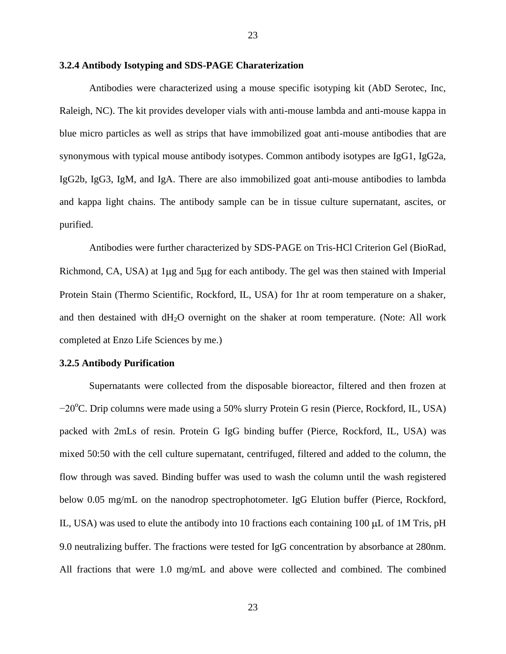#### **3.2.4 Antibody Isotyping and SDS-PAGE Charaterization**

Antibodies were characterized using a mouse specific isotyping kit (AbD Serotec, Inc, Raleigh, NC). The kit provides developer vials with anti-mouse lambda and anti-mouse kappa in blue micro particles as well as strips that have immobilized goat anti-mouse antibodies that are synonymous with typical mouse antibody isotypes. Common antibody isotypes are IgG1, IgG2a, IgG2b, IgG3, IgM, and IgA. There are also immobilized goat anti-mouse antibodies to lambda and kappa light chains. The antibody sample can be in tissue culture supernatant, ascites, or purified.

Antibodies were further characterized by SDS-PAGE on Tris-HCl Criterion Gel (BioRad, Richmond, CA, USA) at 1 µg and 5 µg for each antibody. The gel was then stained with Imperial Protein Stain (Thermo Scientific, Rockford, IL, USA) for 1hr at room temperature on a shaker, and then destained with dH<sub>2</sub>O overnight on the shaker at room temperature. (Note: All work completed at Enzo Life Sciences by me.)

#### **3.2.5 Antibody Purification**

Supernatants were collected from the disposable bioreactor, filtered and then frozen at −20<sup>o</sup>C. Drip columns were made using a 50% slurry Protein G resin (Pierce, Rockford, IL, USA) packed with 2mLs of resin. Protein G IgG binding buffer (Pierce, Rockford, IL, USA) was mixed 50:50 with the cell culture supernatant, centrifuged, filtered and added to the column, the flow through was saved. Binding buffer was used to wash the column until the wash registered below 0.05 mg/mL on the nanodrop spectrophotometer. IgG Elution buffer (Pierce, Rockford, IL, USA) was used to elute the antibody into 10 fractions each containing  $100 \mu$ L of 1M Tris, pH 9.0 neutralizing buffer. The fractions were tested for IgG concentration by absorbance at 280nm. All fractions that were 1.0 mg/mL and above were collected and combined. The combined

23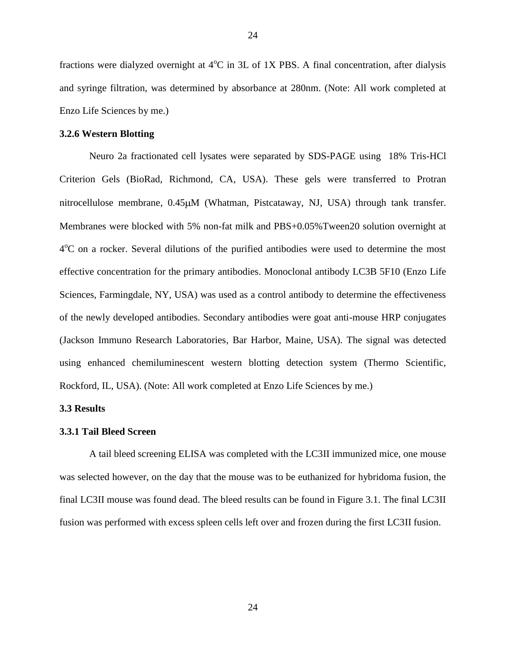fractions were dialyzed overnight at  $4^{\circ}C$  in 3L of 1X PBS. A final concentration, after dialysis and syringe filtration, was determined by absorbance at 280nm. (Note: All work completed at Enzo Life Sciences by me.)

#### **3.2.6 Western Blotting**

Neuro 2a fractionated cell lysates were separated by SDS-PAGE using 18% Tris-HCl Criterion Gels (BioRad, Richmond, CA, USA). These gels were transferred to Protran nitrocellulose membrane,  $0.45 \mu M$  (Whatman, Pistcataway, NJ, USA) through tank transfer. Membranes were blocked with 5% non-fat milk and PBS+0.05%Tween20 solution overnight at 4<sup>o</sup>C on a rocker. Several dilutions of the purified antibodies were used to determine the most effective concentration for the primary antibodies. Monoclonal antibody LC3B 5F10 (Enzo Life Sciences, Farmingdale, NY, USA) was used as a control antibody to determine the effectiveness of the newly developed antibodies. Secondary antibodies were goat anti-mouse HRP conjugates (Jackson Immuno Research Laboratories, Bar Harbor, Maine, USA). The signal was detected using enhanced chemiluminescent western blotting detection system (Thermo Scientific, Rockford, IL, USA). (Note: All work completed at Enzo Life Sciences by me.)

#### **3.3 Results**

#### **3.3.1 Tail Bleed Screen**

A tail bleed screening ELISA was completed with the LC3II immunized mice, one mouse was selected however, on the day that the mouse was to be euthanized for hybridoma fusion, the final LC3II mouse was found dead. The bleed results can be found in Figure 3.1. The final LC3II fusion was performed with excess spleen cells left over and frozen during the first LC3II fusion.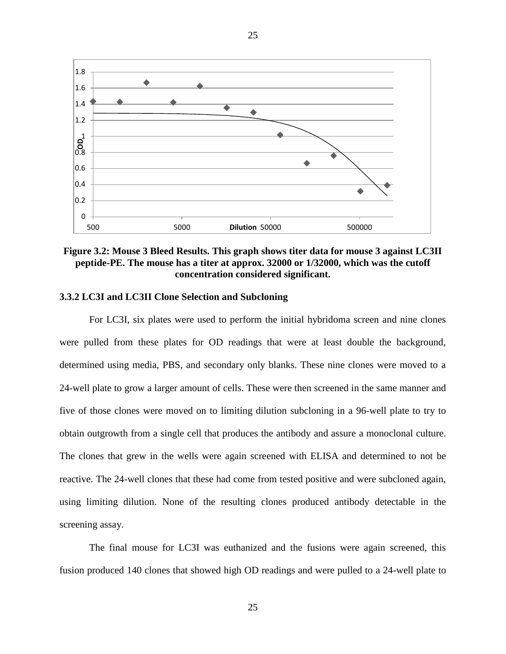

25

**Figure 3.2: Mouse 3 Bleed Results. This graph shows titer data for mouse 3 against LC3II peptide-PE. The mouse has a titer at approx. 32000 or 1/32000, which was the cutoff concentration considered significant.**

#### **3.3.2 LC3I and LC3II Clone Selection and Subcloning**

For LC3I, six plates were used to perform the initial hybridoma screen and nine clones were pulled from these plates for OD readings that were at least double the background, determined using media, PBS, and secondary only blanks. These nine clones were moved to a 24-well plate to grow a larger amount of cells. These were then screened in the same manner and five of those clones were moved on to limiting dilution subcloning in a 96-well plate to try to obtain outgrowth from a single cell that produces the antibody and assure a monoclonal culture. The clones that grew in the wells were again screened with ELISA and determined to not be reactive. The 24-well clones that these had come from tested positive and were subcloned again, using limiting dilution. None of the resulting clones produced antibody detectable in the screening assay.

The final mouse for LC3I was euthanized and the fusions were again screened, this fusion produced 140 clones that showed high OD readings and were pulled to a 24-well plate to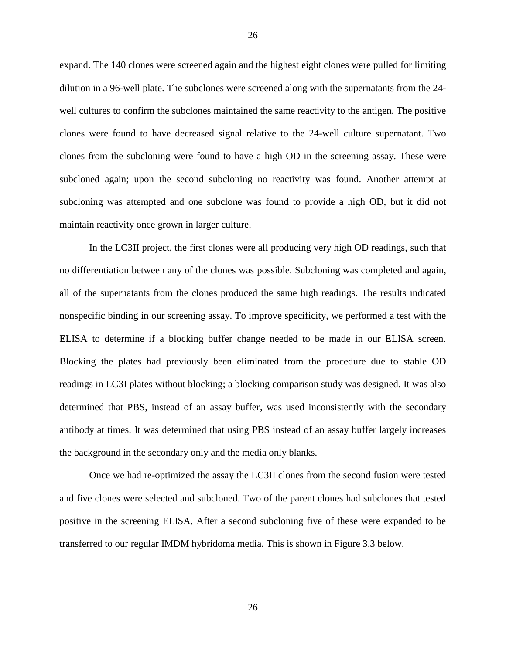expand. The 140 clones were screened again and the highest eight clones were pulled for limiting dilution in a 96-well plate. The subclones were screened along with the supernatants from the 24 well cultures to confirm the subclones maintained the same reactivity to the antigen. The positive clones were found to have decreased signal relative to the 24-well culture supernatant. Two clones from the subcloning were found to have a high OD in the screening assay. These were subcloned again; upon the second subcloning no reactivity was found. Another attempt at subcloning was attempted and one subclone was found to provide a high OD, but it did not maintain reactivity once grown in larger culture.

In the LC3II project, the first clones were all producing very high OD readings, such that no differentiation between any of the clones was possible. Subcloning was completed and again, all of the supernatants from the clones produced the same high readings. The results indicated nonspecific binding in our screening assay. To improve specificity, we performed a test with the ELISA to determine if a blocking buffer change needed to be made in our ELISA screen. Blocking the plates had previously been eliminated from the procedure due to stable OD readings in LC3I plates without blocking; a blocking comparison study was designed. It was also determined that PBS, instead of an assay buffer, was used inconsistently with the secondary antibody at times. It was determined that using PBS instead of an assay buffer largely increases the background in the secondary only and the media only blanks.

Once we had re-optimized the assay the LC3II clones from the second fusion were tested and five clones were selected and subcloned. Two of the parent clones had subclones that tested positive in the screening ELISA. After a second subcloning five of these were expanded to be transferred to our regular IMDM hybridoma media. This is shown in Figure 3.3 below.

26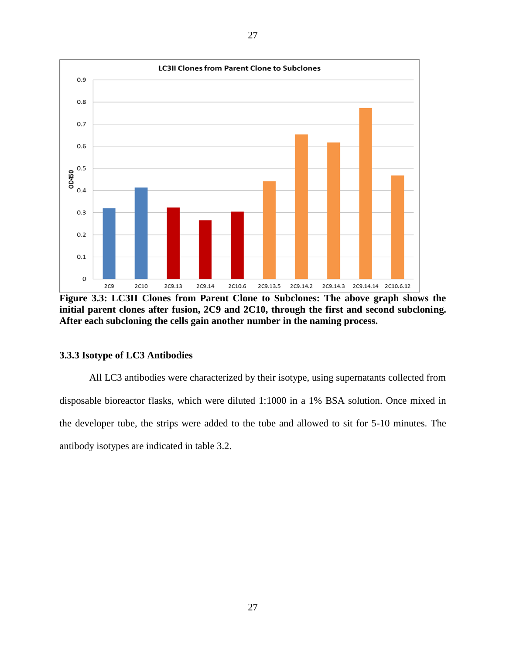

**Figure 3.3: LC3II Clones from Parent Clone to Subclones: The above graph shows the initial parent clones after fusion, 2C9 and 2C10, through the first and second subcloning. After each subcloning the cells gain another number in the naming process.** 

#### **3.3.3 Isotype of LC3 Antibodies**

All LC3 antibodies were characterized by their isotype, using supernatants collected from disposable bioreactor flasks, which were diluted 1:1000 in a 1% BSA solution. Once mixed in the developer tube, the strips were added to the tube and allowed to sit for 5-10 minutes. The antibody isotypes are indicated in table 3.2.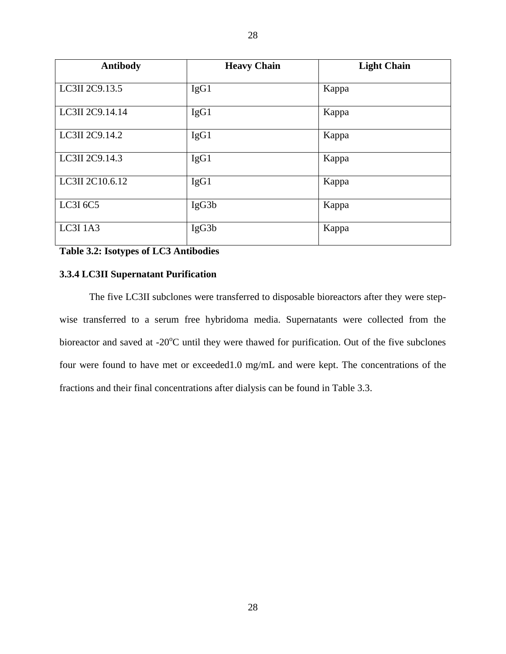| <b>Antibody</b> | <b>Heavy Chain</b> | <b>Light Chain</b> |
|-----------------|--------------------|--------------------|
| LC3II 2C9.13.5  | IgG1               | Kappa              |
| LC3II 2C9.14.14 | IgG1               | Kappa              |
| LC3II 2C9.14.2  | IgG1               | Kappa              |
| LC3II 2C9.14.3  | IgG1               | Kappa              |
| LC3II 2C10.6.12 | IgG1               | Kappa              |
| LC3I 6C5        | IgG3b              | Kappa              |
| <b>LC3I 1A3</b> | IgG3b              | Kappa              |

28

# **Table 3.2: Isotypes of LC3 Antibodies**

#### **3.3.4 LC3II Supernatant Purification**

The five LC3II subclones were transferred to disposable bioreactors after they were stepwise transferred to a serum free hybridoma media. Supernatants were collected from the bioreactor and saved at  $-20^{\circ}$ C until they were thawed for purification. Out of the five subclones four were found to have met or exceeded1.0 mg/mL and were kept. The concentrations of the fractions and their final concentrations after dialysis can be found in Table 3.3.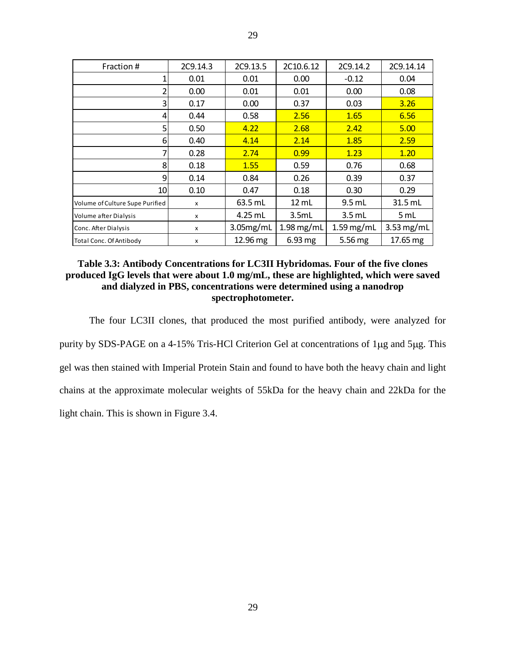| Fraction #                      | 2C9.14.3 | 2C9.13.5  | 2C10.6.12         | 2C9.14.2     | 2C9.14.14    |
|---------------------------------|----------|-----------|-------------------|--------------|--------------|
| 1                               | 0.01     | 0.01      | 0.00              | $-0.12$      | 0.04         |
| 2                               | 0.00     | 0.01      | 0.01              | 0.00         | 0.08         |
| 3                               | 0.17     | 0.00      | 0.37              | 0.03         | 3.26         |
| 4                               | 0.44     | 0.58      | 2.56              | 1.65         | 6.56         |
| 5                               | 0.50     | 4.22      | 2.68              | 2.42         | 5.00         |
| 6                               | 0.40     | 4.14      | 2.14              | 1.85         | 2.59         |
| 7                               | 0.28     | 2.74      | 0.99              | 1.23         | 1.20         |
| 8                               | 0.18     | 1.55      | 0.59              | 0.76         | 0.68         |
| 9                               | 0.14     | 0.84      | 0.26              | 0.39         | 0.37         |
| 10                              | 0.10     | 0.47      | 0.18              | 0.30         | 0.29         |
| Volume of Culture Supe Purified | x        | $63.5$ mL | $12 \text{ mL}$   | $9.5$ mL     | 31.5 mL      |
| Volume after Dialysis           | x        | 4.25 mL   | 3.5mL             | $3.5$ mL     | 5 mL         |
| Conc. After Dialysis            | X        | 3.05mg/mL | $1.98$ mg/mL      | $1.59$ mg/mL | $3.53$ mg/mL |
| Total Conc. Of Antibody         | x        | 12.96 mg  | $6.93 \text{ mg}$ | 5.56 mg      | 17.65 mg     |

29

#### **Table 3.3: Antibody Concentrations for LC3II Hybridomas. Four of the five clones produced IgG levels that were about 1.0 mg/mL, these are highlighted, which were saved and dialyzed in PBS, concentrations were determined using a nanodrop spectrophotometer.**

The four LC3II clones, that produced the most purified antibody, were analyzed for purity by SDS-PAGE on a 4-15% Tris-HCl Criterion Gel at concentrations of 1µg and 5µg. This gel was then stained with Imperial Protein Stain and found to have both the heavy chain and light chains at the approximate molecular weights of 55kDa for the heavy chain and 22kDa for the light chain. This is shown in Figure 3.4.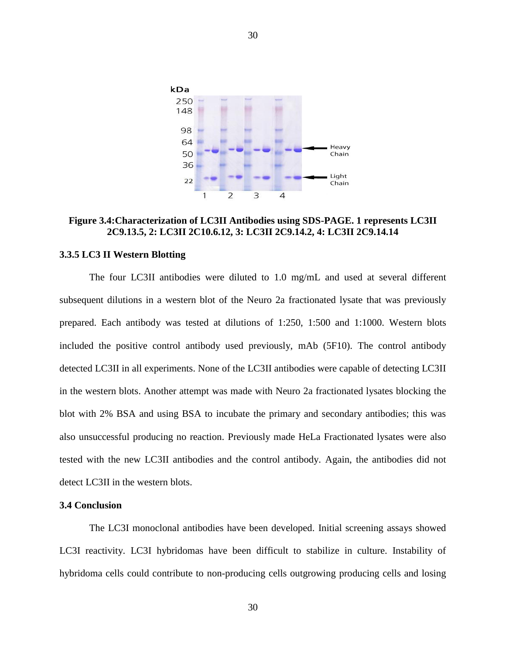

**Figure 3.4:Characterization of LC3II Antibodies using SDS-PAGE. 1 represents LC3II 2C9.13.5, 2: LC3II 2C10.6.12, 3: LC3II 2C9.14.2, 4: LC3II 2C9.14.14**

#### **3.3.5 LC3 II Western Blotting**

The four LC3II antibodies were diluted to 1.0 mg/mL and used at several different subsequent dilutions in a western blot of the Neuro 2a fractionated lysate that was previously prepared. Each antibody was tested at dilutions of 1:250, 1:500 and 1:1000. Western blots included the positive control antibody used previously, mAb (5F10). The control antibody detected LC3II in all experiments. None of the LC3II antibodies were capable of detecting LC3II in the western blots. Another attempt was made with Neuro 2a fractionated lysates blocking the blot with 2% BSA and using BSA to incubate the primary and secondary antibodies; this was also unsuccessful producing no reaction. Previously made HeLa Fractionated lysates were also tested with the new LC3II antibodies and the control antibody. Again, the antibodies did not detect LC3II in the western blots.

#### **3.4 Conclusion**

The LC3I monoclonal antibodies have been developed. Initial screening assays showed LC3I reactivity. LC3I hybridomas have been difficult to stabilize in culture. Instability of hybridoma cells could contribute to non-producing cells outgrowing producing cells and losing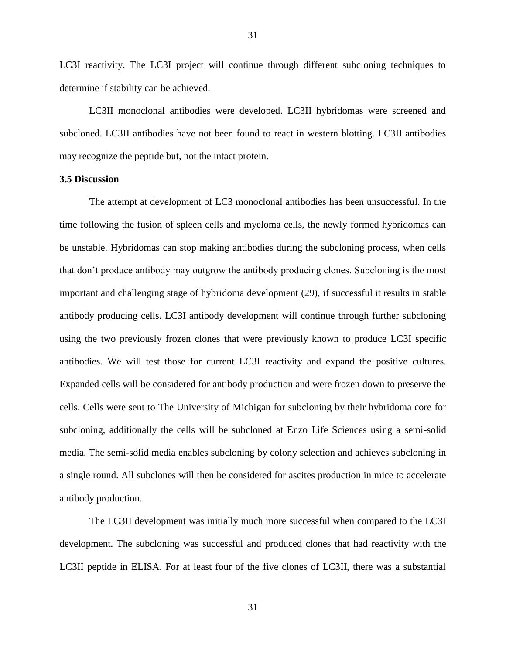LC3I reactivity. The LC3I project will continue through different subcloning techniques to determine if stability can be achieved.

31

LC3II monoclonal antibodies were developed. LC3II hybridomas were screened and subcloned. LC3II antibodies have not been found to react in western blotting. LC3II antibodies may recognize the peptide but, not the intact protein.

#### **3.5 Discussion**

The attempt at development of LC3 monoclonal antibodies has been unsuccessful. In the time following the fusion of spleen cells and myeloma cells, the newly formed hybridomas can be unstable. Hybridomas can stop making antibodies during the subcloning process, when cells that don't produce antibody may outgrow the antibody producing clones. Subcloning is the most important and challenging stage of hybridoma development (29), if successful it results in stable antibody producing cells. LC3I antibody development will continue through further subcloning using the two previously frozen clones that were previously known to produce LC3I specific antibodies. We will test those for current LC3I reactivity and expand the positive cultures. Expanded cells will be considered for antibody production and were frozen down to preserve the cells. Cells were sent to The University of Michigan for subcloning by their hybridoma core for subcloning, additionally the cells will be subcloned at Enzo Life Sciences using a semi-solid media. The semi-solid media enables subcloning by colony selection and achieves subcloning in a single round. All subclones will then be considered for ascites production in mice to accelerate antibody production.

The LC3II development was initially much more successful when compared to the LC3I development. The subcloning was successful and produced clones that had reactivity with the LC3II peptide in ELISA. For at least four of the five clones of LC3II, there was a substantial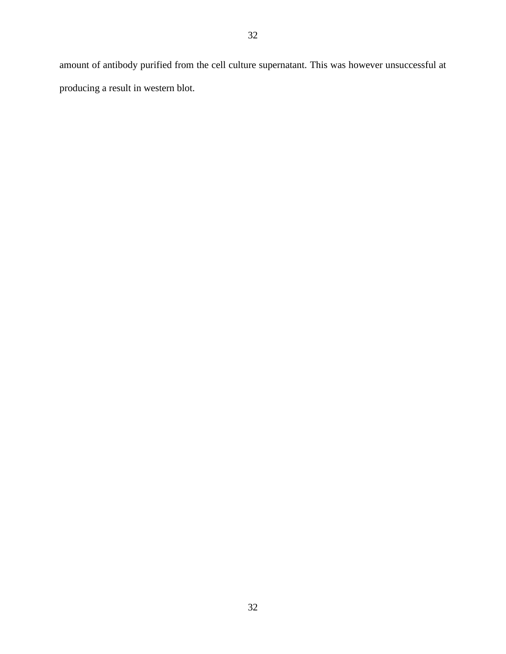amount of antibody purified from the cell culture supernatant. This was however unsuccessful at producing a result in western blot.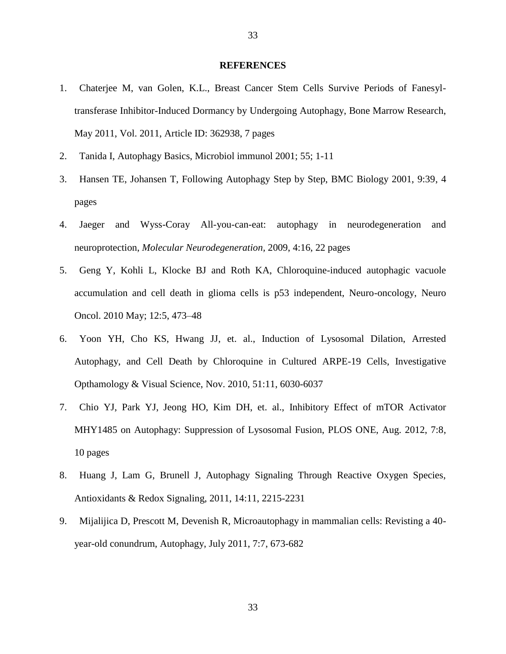#### **REFERENCES**

- 1. Chaterjee M, van Golen, K.L., Breast Cancer Stem Cells Survive Periods of Fanesyltransferase Inhibitor-Induced Dormancy by Undergoing Autophagy, Bone Marrow Research, May 2011, Vol. 2011, Article ID: 362938, 7 pages
- 2. Tanida I, Autophagy Basics, Microbiol immunol 2001; 55; 1-11
- 3. Hansen TE, Johansen T, Following Autophagy Step by Step, BMC Biology 2001, 9:39, 4 pages
- 4. Jaeger and Wyss-Coray All-you-can-eat: autophagy in neurodegeneration and neuroprotection, *Molecular Neurodegeneration,* 2009, 4:16, 22 pages
- 5. Geng Y, Kohli L, Klocke BJ and Roth KA, Chloroquine-induced autophagic vacuole accumulation and cell death in glioma cells is p53 independent, Neuro-oncology, Neuro Oncol. 2010 May; 12:5, 473–48
- 6. Yoon YH, Cho KS, Hwang JJ, et. al., Induction of Lysosomal Dilation, Arrested Autophagy, and Cell Death by Chloroquine in Cultured ARPE-19 Cells, Investigative Opthamology & Visual Science, Nov. 2010, 51:11, 6030-6037
- 7. Chio YJ, Park YJ, Jeong HO, Kim DH, et. al., Inhibitory Effect of mTOR Activator MHY1485 on Autophagy: Suppression of Lysosomal Fusion, PLOS ONE, Aug. 2012, 7:8, 10 pages
- 8. Huang J, Lam G, Brunell J, Autophagy Signaling Through Reactive Oxygen Species, Antioxidants & Redox Signaling, 2011, 14:11, 2215-2231
- 9. Mijalijica D, Prescott M, Devenish R, Microautophagy in mammalian cells: Revisting a 40 year-old conundrum, Autophagy, July 2011, 7:7, 673-682

33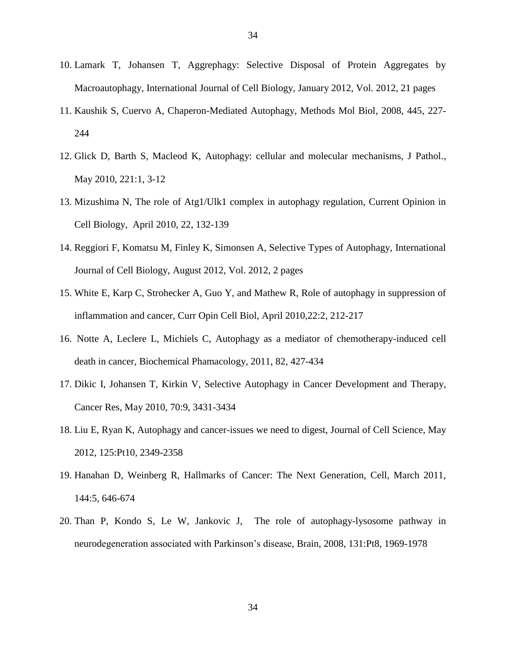- 10. Lamark T, Johansen T, Aggrephagy: Selective Disposal of Protein Aggregates by Macroautophagy, International Journal of Cell Biology, January 2012, Vol. 2012, 21 pages
- 11. Kaushik S, Cuervo A, Chaperon-Mediated Autophagy, Methods Mol Biol, 2008, 445, 227- 244
- 12. Glick D, Barth S, Macleod K, Autophagy: cellular and molecular mechanisms, J Pathol., May 2010, 221:1, 3-12
- 13. Mizushima N, The role of Atg1/Ulk1 complex in autophagy regulation, Current Opinion in Cell Biology, April 2010, 22, 132-139
- 14. Reggiori F, Komatsu M, Finley K, Simonsen A, Selective Types of Autophagy, International Journal of Cell Biology, August 2012, Vol. 2012, 2 pages
- 15. White E, Karp C, Strohecker A, Guo Y, and Mathew R, Role of autophagy in suppression of inflammation and cancer, Curr Opin Cell Biol, April 2010,22:2, 212-217
- 16. Notte A, Leclere L, Michiels C, Autophagy as a mediator of chemotherapy-induced cell death in cancer, Biochemical Phamacology, 2011, 82, 427-434
- 17. Dikic I, Johansen T, Kirkin V, Selective Autophagy in Cancer Development and Therapy, Cancer Res, May 2010, 70:9, 3431-3434
- 18. Liu E, Ryan K, Autophagy and cancer-issues we need to digest, Journal of Cell Science, May 2012, 125:Pt10, 2349-2358
- 19. Hanahan D, Weinberg R, Hallmarks of Cancer: The Next Generation, Cell, March 2011, 144:5, 646-674
- 20. Than P, Kondo S, Le W, Jankovic J, The role of autophagy-lysosome pathway in neurodegeneration associated with Parkinson's disease, Brain, 2008, 131:Pt8, 1969-1978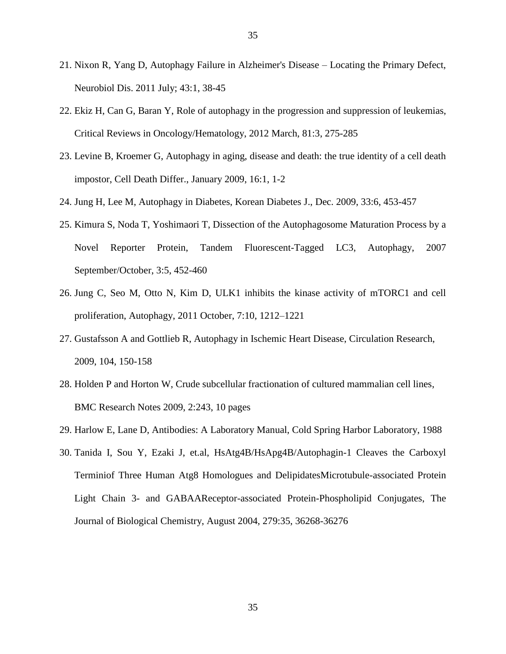- 21. Nixon R, Yang D, Autophagy Failure in Alzheimer's Disease Locating the Primary Defect, Neurobiol Dis. 2011 July; 43:1, 38-45
- 22. Ekiz H, Can G, Baran Y, Role of autophagy in the progression and suppression of leukemias, Critical Reviews in Oncology/Hematology, 2012 March, 81:3, 275-285
- 23. Levine B, Kroemer G, Autophagy in aging, disease and death: the true identity of a cell death impostor, Cell Death Differ., January 2009, 16:1, 1-2
- 24. Jung H, Lee M, Autophagy in Diabetes, Korean Diabetes J., Dec. 2009, 33:6, 453-457
- 25. Kimura S, Noda T, Yoshimaori T, Dissection of the Autophagosome Maturation Process by a Novel Reporter Protein, Tandem Fluorescent-Tagged LC3, Autophagy, 2007 September/October, 3:5, 452-460
- 26. Jung C, Seo M, Otto N, Kim D, ULK1 inhibits the kinase activity of mTORC1 and cell proliferation, Autophagy, 2011 October, 7:10, 1212–1221
- 27. Gustafsson A and Gottlieb R, Autophagy in Ischemic Heart Disease, Circulation Research, 2009, 104, 150-158
- 28. Holden P and Horton W, Crude subcellular fractionation of cultured mammalian cell lines, BMC Research Notes 2009, 2:243, 10 pages
- 29. Harlow E, Lane D, Antibodies: A Laboratory Manual, Cold Spring Harbor Laboratory, 1988
- 30. Tanida I, Sou Y, Ezaki J, et.al, HsAtg4B/HsApg4B/Autophagin-1 Cleaves the Carboxyl Terminiof Three Human Atg8 Homologues and DelipidatesMicrotubule-associated Protein Light Chain 3- and GABAAReceptor-associated Protein-Phospholipid Conjugates, The Journal of Biological Chemistry, August 2004, 279:35, 36268-36276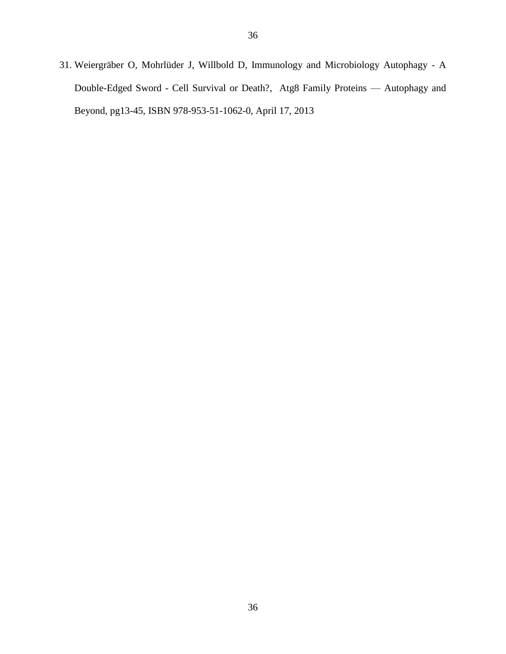31. Weiergräber O, Mohrlüder J, Willbold D, Immunology and Microbiology Autophagy - A Double-Edged Sword - Cell Survival or Death?, Atg8 Family Proteins — Autophagy and Beyond, pg13-45, ISBN 978-953-51-1062-0, April 17, 2013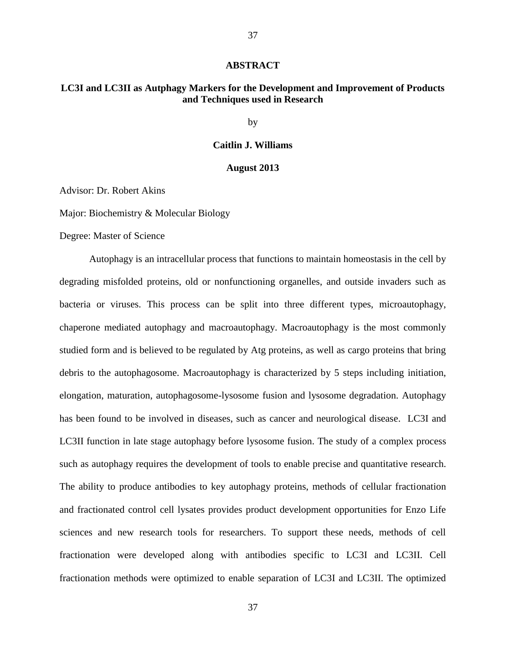#### **ABSTRACT**

37

#### **LC3I and LC3II as Autphagy Markers for the Development and Improvement of Products and Techniques used in Research**

by

#### **Caitlin J. Williams**

#### **August 2013**

Advisor: Dr. Robert Akins

Major: Biochemistry & Molecular Biology

Degree: Master of Science

Autophagy is an intracellular process that functions to maintain homeostasis in the cell by degrading misfolded proteins, old or nonfunctioning organelles, and outside invaders such as bacteria or viruses. This process can be split into three different types, microautophagy, chaperone mediated autophagy and macroautophagy. Macroautophagy is the most commonly studied form and is believed to be regulated by Atg proteins, as well as cargo proteins that bring debris to the autophagosome. Macroautophagy is characterized by 5 steps including initiation, elongation, maturation, autophagosome-lysosome fusion and lysosome degradation. Autophagy has been found to be involved in diseases, such as cancer and neurological disease. LC3I and LC3II function in late stage autophagy before lysosome fusion. The study of a complex process such as autophagy requires the development of tools to enable precise and quantitative research. The ability to produce antibodies to key autophagy proteins, methods of cellular fractionation and fractionated control cell lysates provides product development opportunities for Enzo Life sciences and new research tools for researchers. To support these needs, methods of cell fractionation were developed along with antibodies specific to LC3I and LC3II. Cell fractionation methods were optimized to enable separation of LC3I and LC3II. The optimized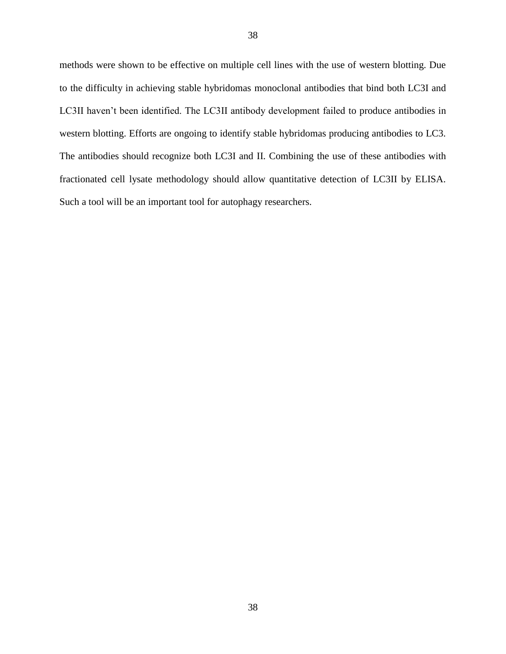methods were shown to be effective on multiple cell lines with the use of western blotting. Due to the difficulty in achieving stable hybridomas monoclonal antibodies that bind both LC3I and LC3II haven't been identified. The LC3II antibody development failed to produce antibodies in western blotting. Efforts are ongoing to identify stable hybridomas producing antibodies to LC3. The antibodies should recognize both LC3I and II. Combining the use of these antibodies with fractionated cell lysate methodology should allow quantitative detection of LC3II by ELISA. Such a tool will be an important tool for autophagy researchers.